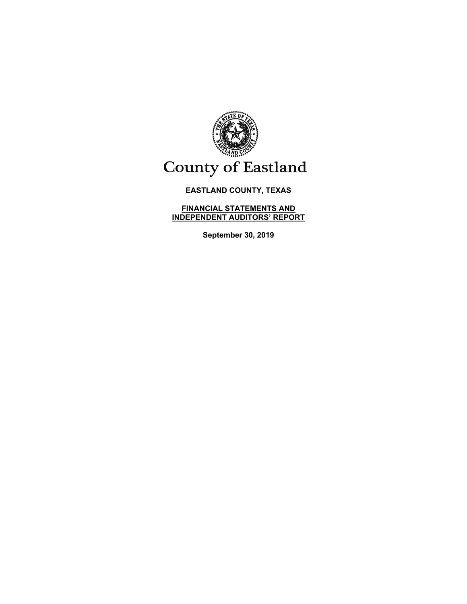

# County of Eastland

# **EASTLAND COUNTY, TEXAS**

# **FINANCIAL STATEMENTS AND INDEPENDENT AUDITORS' REPORT**

**September 30, 2019**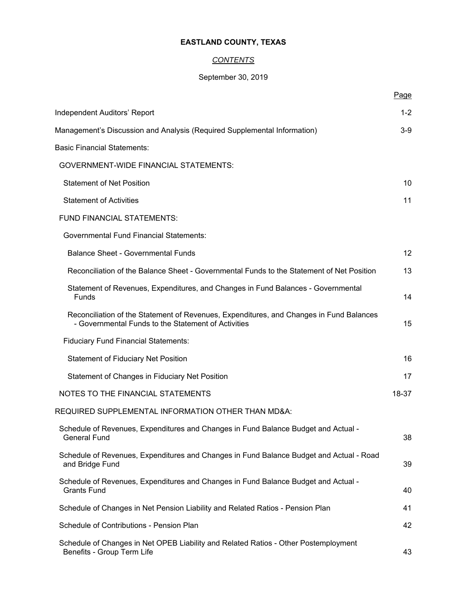# *CONTENTS*

# September 30, 2019

|                                                                                                                                                | Page    |
|------------------------------------------------------------------------------------------------------------------------------------------------|---------|
| Independent Auditors' Report                                                                                                                   | $1 - 2$ |
| Management's Discussion and Analysis (Required Supplemental Information)                                                                       | $3-9$   |
| <b>Basic Financial Statements:</b>                                                                                                             |         |
| <b>GOVERNMENT-WIDE FINANCIAL STATEMENTS:</b>                                                                                                   |         |
| <b>Statement of Net Position</b>                                                                                                               | 10      |
| <b>Statement of Activities</b>                                                                                                                 | 11      |
| <b>FUND FINANCIAL STATEMENTS:</b>                                                                                                              |         |
| <b>Governmental Fund Financial Statements:</b>                                                                                                 |         |
| <b>Balance Sheet - Governmental Funds</b>                                                                                                      | 12      |
| Reconciliation of the Balance Sheet - Governmental Funds to the Statement of Net Position                                                      | 13      |
| Statement of Revenues, Expenditures, and Changes in Fund Balances - Governmental<br><b>Funds</b>                                               | 14      |
| Reconciliation of the Statement of Revenues, Expenditures, and Changes in Fund Balances<br>- Governmental Funds to the Statement of Activities | 15      |
| <b>Fiduciary Fund Financial Statements:</b>                                                                                                    |         |
| <b>Statement of Fiduciary Net Position</b>                                                                                                     | 16      |
| Statement of Changes in Fiduciary Net Position                                                                                                 | 17      |
| NOTES TO THE FINANCIAL STATEMENTS                                                                                                              | 18-37   |
| REQUIRED SUPPLEMENTAL INFORMATION OTHER THAN MD&A:                                                                                             |         |
| Schedule of Revenues, Expenditures and Changes in Fund Balance Budget and Actual -<br><b>General Fund</b>                                      | 38      |
| Schedule of Revenues, Expenditures and Changes in Fund Balance Budget and Actual - Road<br>and Bridge Fund                                     | 39      |
| Schedule of Revenues, Expenditures and Changes in Fund Balance Budget and Actual -<br><b>Grants Fund</b>                                       | 40      |
| Schedule of Changes in Net Pension Liability and Related Ratios - Pension Plan                                                                 | 41      |
| Schedule of Contributions - Pension Plan                                                                                                       | 42      |
| Schedule of Changes in Net OPEB Liability and Related Ratios - Other Postemployment<br>Benefits - Group Term Life                              | 43      |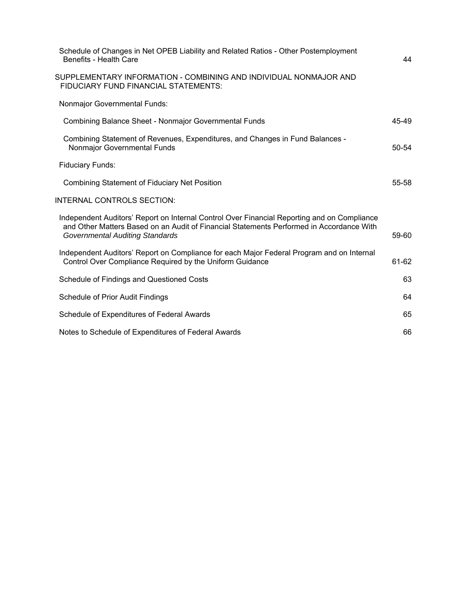| Schedule of Changes in Net OPEB Liability and Related Ratios - Other Postemployment<br><b>Benefits - Health Care</b>                                                                                                              | 44    |
|-----------------------------------------------------------------------------------------------------------------------------------------------------------------------------------------------------------------------------------|-------|
| SUPPLEMENTARY INFORMATION - COMBINING AND INDIVIDUAL NONMAJOR AND<br>FIDUCIARY FUND FINANCIAL STATEMENTS:                                                                                                                         |       |
| Nonmajor Governmental Funds:                                                                                                                                                                                                      |       |
| Combining Balance Sheet - Nonmajor Governmental Funds                                                                                                                                                                             | 45-49 |
| Combining Statement of Revenues, Expenditures, and Changes in Fund Balances -<br>Nonmajor Governmental Funds                                                                                                                      | 50-54 |
| <b>Fiduciary Funds:</b>                                                                                                                                                                                                           |       |
| <b>Combining Statement of Fiduciary Net Position</b>                                                                                                                                                                              | 55-58 |
| INTERNAL CONTROLS SECTION:                                                                                                                                                                                                        |       |
| Independent Auditors' Report on Internal Control Over Financial Reporting and on Compliance<br>and Other Matters Based on an Audit of Financial Statements Performed in Accordance With<br><b>Governmental Auditing Standards</b> | 59-60 |
| Independent Auditors' Report on Compliance for each Major Federal Program and on Internal<br>Control Over Compliance Required by the Uniform Guidance                                                                             | 61-62 |
| Schedule of Findings and Questioned Costs                                                                                                                                                                                         | 63    |
| Schedule of Prior Audit Findings                                                                                                                                                                                                  | 64    |
| Schedule of Expenditures of Federal Awards                                                                                                                                                                                        | 65    |
| Notes to Schedule of Expenditures of Federal Awards                                                                                                                                                                               | 66    |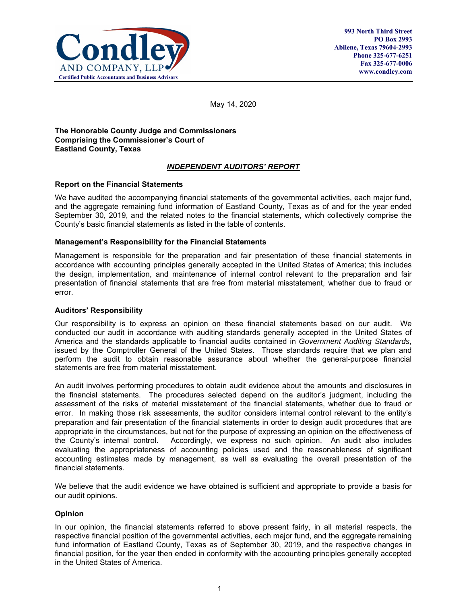

May 14, 2020

**The Honorable County Judge and Commissioners Comprising the Commissioner's Court of Eastland County, Texas**

# *INDEPENDENT AUDITORS' REPORT*

### **Report on the Financial Statements**

We have audited the accompanying financial statements of the governmental activities, each major fund, and the aggregate remaining fund information of Eastland County, Texas as of and for the year ended September 30, 2019, and the related notes to the financial statements, which collectively comprise the County's basic financial statements as listed in the table of contents.

### **Management's Responsibility for the Financial Statements**

Management is responsible for the preparation and fair presentation of these financial statements in accordance with accounting principles generally accepted in the United States of America; this includes the design, implementation, and maintenance of internal control relevant to the preparation and fair presentation of financial statements that are free from material misstatement, whether due to fraud or error.

#### **Auditors' Responsibility**

Our responsibility is to express an opinion on these financial statements based on our audit. We conducted our audit in accordance with auditing standards generally accepted in the United States of America and the standards applicable to financial audits contained in *Government Auditing Standards*, issued by the Comptroller General of the United States. Those standards require that we plan and perform the audit to obtain reasonable assurance about whether the general-purpose financial statements are free from material misstatement.

An audit involves performing procedures to obtain audit evidence about the amounts and disclosures in the financial statements. The procedures selected depend on the auditor's judgment, including the assessment of the risks of material misstatement of the financial statements, whether due to fraud or error. In making those risk assessments, the auditor considers internal control relevant to the entity's preparation and fair presentation of the financial statements in order to design audit procedures that are appropriate in the circumstances, but not for the purpose of expressing an opinion on the effectiveness of the County's internal control. Accordingly, we express no such opinion. An audit also includes evaluating the appropriateness of accounting policies used and the reasonableness of significant accounting estimates made by management, as well as evaluating the overall presentation of the financial statements.

We believe that the audit evidence we have obtained is sufficient and appropriate to provide a basis for our audit opinions.

#### **Opinion**

In our opinion, the financial statements referred to above present fairly, in all material respects, the respective financial position of the governmental activities, each major fund, and the aggregate remaining fund information of Eastland County, Texas as of September 30, 2019, and the respective changes in financial position, for the year then ended in conformity with the accounting principles generally accepted in the United States of America.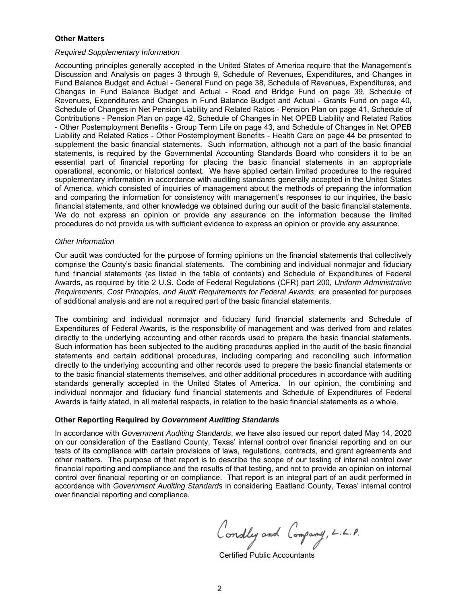#### **Other Matters**

#### *Required Supplementary Information*

Accounting principles generally accepted in the United States of America require that the Management's Discussion and Analysis on pages 3 through 9, Schedule of Revenues, Expenditures, and Changes in Fund Balance Budget and Actual - General Fund on page 38, Schedule of Revenues, Expenditures, and Changes in Fund Balance Budget and Actual - Road and Bridge Fund on page 39, Schedule of Revenues, Expenditures and Changes in Fund Balance Budget and Actual - Grants Fund on page 40, Schedule of Changes in Net Pension Liability and Related Ratios - Pension Plan on page 41, Schedule of Contributions - Pension Plan on page 42, Schedule of Changes in Net OPEB Liability and Related Ratios - Other Postemployment Benefits - Group Term Life on page 43, and Schedule of Changes in Net OPEB Liability and Related Ratios - Other Postemployment Benefits - Health Care on page 44 be presented to supplement the basic financial statements. Such information, although not a part of the basic financial statements, is required by the Governmental Accounting Standards Board who considers it to be an essential part of financial reporting for placing the basic financial statements in an appropriate operational, economic, or historical context. We have applied certain limited procedures to the required supplementary information in accordance with auditing standards generally accepted in the United States of America, which consisted of inquiries of management about the methods of preparing the information and comparing the information for consistency with management's responses to our inquiries, the basic financial statements, and other knowledge we obtained during our audit of the basic financial statements. We do not express an opinion or provide any assurance on the information because the limited procedures do not provide us with sufficient evidence to express an opinion or provide any assurance.

#### *Other Information*

Our audit was conducted for the purpose of forming opinions on the financial statements that collectively comprise the County's basic financial statements. The combining and individual nonmajor and fiduciary fund financial statements (as listed in the table of contents) and Schedule of Expenditures of Federal Awards, as required by title 2 U.S. Code of Federal Regulations (CFR) part 200, *Uniform Administrative Requirements, Cost Principles, and Audit Requirements for Federal Awards*, are presented for purposes of additional analysis and are not a required part of the basic financial statements.

The combining and individual nonmajor and fiduciary fund financial statements and Schedule of Expenditures of Federal Awards, is the responsibility of management and was derived from and relates directly to the underlying accounting and other records used to prepare the basic financial statements. Such information has been subjected to the auditing procedures applied in the audit of the basic financial statements and certain additional procedures, including comparing and reconciling such information directly to the underlying accounting and other records used to prepare the basic financial statements or to the basic financial statements themselves, and other additional procedures in accordance with auditing standards generally accepted in the United States of America. In our opinion, the combining and individual nonmajor and fiduciary fund financial statements and Schedule of Expenditures of Federal Awards is fairly stated, in all material respects, in relation to the basic financial statements as a whole.

#### **Other Reporting Required by** *Government Auditing Standards*

In accordance with *Government Auditing Standards*, we have also issued our report dated May 14, 2020 on our consideration of the Eastland County, Texas' internal control over financial reporting and on our tests of its compliance with certain provisions of laws, regulations, contracts, and grant agreements and other matters. The purpose of that report is to describe the scope of our testing of internal control over financial reporting and compliance and the results of that testing, and not to provide an opinion on internal control over financial reporting or on compliance. That report is an integral part of an audit performed in accordance with *Government Auditing Standards* in considering Eastland County, Texas' internal control over financial reporting and compliance.

Conolly and Company, L.L.P.<br>Certified Public Accountants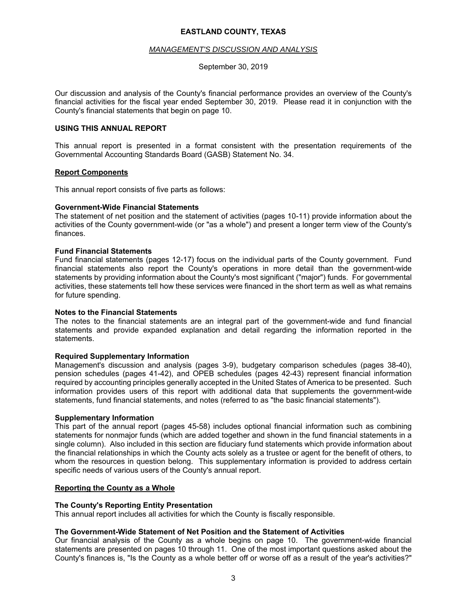#### *MANAGEMENT'S DISCUSSION AND ANALYSIS*

#### September 30, 2019

Our discussion and analysis of the County's financial performance provides an overview of the County's financial activities for the fiscal year ended September 30, 2019. Please read it in conjunction with the County's financial statements that begin on page 10.

#### **USING THIS ANNUAL REPORT**

This annual report is presented in a format consistent with the presentation requirements of the Governmental Accounting Standards Board (GASB) Statement No. 34.

#### **Report Components**

This annual report consists of five parts as follows:

#### **Government-Wide Financial Statements**

The statement of net position and the statement of activities (pages 10-11) provide information about the activities of the County government-wide (or "as a whole") and present a longer term view of the County's finances.

#### **Fund Financial Statements**

Fund financial statements (pages 12-17) focus on the individual parts of the County government. Fund financial statements also report the County's operations in more detail than the government-wide statements by providing information about the County's most significant ("major") funds. For governmental activities, these statements tell how these services were financed in the short term as well as what remains for future spending.

#### **Notes to the Financial Statements**

The notes to the financial statements are an integral part of the government-wide and fund financial statements and provide expanded explanation and detail regarding the information reported in the statements.

#### **Required Supplementary Information**

Management's discussion and analysis (pages 3-9), budgetary comparison schedules (pages 38-40), pension schedules (pages 41-42), and OPEB schedules (pages 42-43) represent financial information required by accounting principles generally accepted in the United States of America to be presented. Such information provides users of this report with additional data that supplements the government-wide statements, fund financial statements, and notes (referred to as "the basic financial statements").

#### **Supplementary Information**

This part of the annual report (pages 45-58) includes optional financial information such as combining statements for nonmajor funds (which are added together and shown in the fund financial statements in a single column). Also included in this section are fiduciary fund statements which provide information about the financial relationships in which the County acts solely as a trustee or agent for the benefit of others, to whom the resources in question belong. This supplementary information is provided to address certain specific needs of various users of the County's annual report.

#### **Reporting the County as a Whole**

#### **The County's Reporting Entity Presentation**

This annual report includes all activities for which the County is fiscally responsible.

#### **The Government-Wide Statement of Net Position and the Statement of Activities**

Our financial analysis of the County as a whole begins on page 10. The government-wide financial statements are presented on pages 10 through 11. One of the most important questions asked about the County's finances is, "Is the County as a whole better off or worse off as a result of the year's activities?"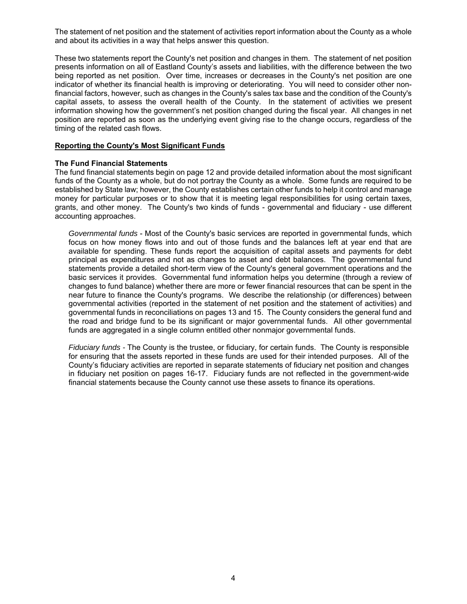The statement of net position and the statement of activities report information about the County as a whole and about its activities in a way that helps answer this question.

These two statements report the County's net position and changes in them. The statement of net position presents information on all of Eastland County's assets and liabilities, with the difference between the two being reported as net position. Over time, increases or decreases in the County's net position are one indicator of whether its financial health is improving or deteriorating. You will need to consider other nonfinancial factors, however, such as changes in the County's sales tax base and the condition of the County's capital assets, to assess the overall health of the County. In the statement of activities we present information showing how the government's net position changed during the fiscal year. All changes in net position are reported as soon as the underlying event giving rise to the change occurs, regardless of the timing of the related cash flows.

#### **Reporting the County's Most Significant Funds**

### **The Fund Financial Statements**

The fund financial statements begin on page 12 and provide detailed information about the most significant funds of the County as a whole, but do not portray the County as a whole. Some funds are required to be established by State law; however, the County establishes certain other funds to help it control and manage money for particular purposes or to show that it is meeting legal responsibilities for using certain taxes, grants, and other money. The County's two kinds of funds - governmental and fiduciary - use different accounting approaches.

*Governmental funds* - Most of the County's basic services are reported in governmental funds, which focus on how money flows into and out of those funds and the balances left at year end that are available for spending. These funds report the acquisition of capital assets and payments for debt principal as expenditures and not as changes to asset and debt balances. The governmental fund statements provide a detailed short-term view of the County's general government operations and the basic services it provides. Governmental fund information helps you determine (through a review of changes to fund balance) whether there are more or fewer financial resources that can be spent in the near future to finance the County's programs. We describe the relationship (or differences) between governmental activities (reported in the statement of net position and the statement of activities) and governmental funds in reconciliations on pages 13 and 15. The County considers the general fund and the road and bridge fund to be its significant or major governmental funds. All other governmental funds are aggregated in a single column entitled other nonmajor governmental funds.

*Fiduciary funds -* The County is the trustee, or fiduciary, for certain funds. The County is responsible for ensuring that the assets reported in these funds are used for their intended purposes. All of the County's fiduciary activities are reported in separate statements of fiduciary net position and changes in fiduciary net position on pages 16-17. Fiduciary funds are not reflected in the government-wide financial statements because the County cannot use these assets to finance its operations.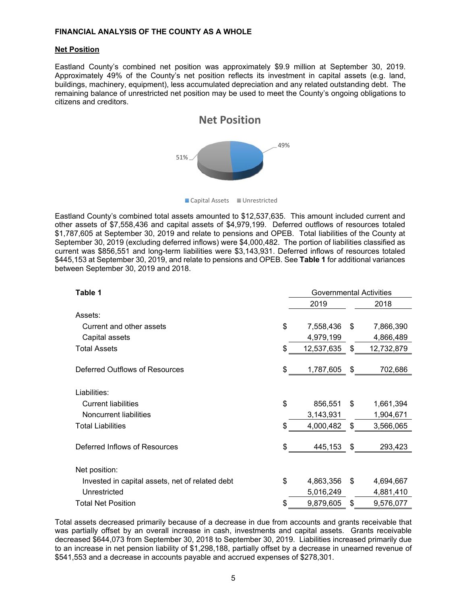### **FINANCIAL ANALYSIS OF THE COUNTY AS A WHOLE**

#### **Net Position**

Eastland County's combined net position was approximately \$9.9 million at September 30, 2019. Approximately 49% of the County's net position reflects its investment in capital assets (e.g. land, buildings, machinery, equipment), less accumulated depreciation and any related outstanding debt. The remaining balance of unrestricted net position may be used to meet the County's ongoing obligations to citizens and creditors.



■ Capital Assets ■ Unrestricted

Eastland County's combined total assets amounted to \$12,537,635. This amount included current and other assets of \$7,558,436 and capital assets of \$4,979,199. Deferred outflows of resources totaled \$1,787,605 at September 30, 2019 and relate to pensions and OPEB. Total liabilities of the County at September 30, 2019 (excluding deferred inflows) were \$4,000,482. The portion of liabilities classified as current was \$856,551 and long-term liabilities were \$3,143,931. Deferred inflows of resources totaled \$445,153 at September 30, 2019, and relate to pensions and OPEB. See **Table 1** for additional variances between September 30, 2019 and 2018.

| Table 1                                         | <b>Governmental Activities</b> |    |            |  |  |  |
|-------------------------------------------------|--------------------------------|----|------------|--|--|--|
|                                                 | 2019                           |    | 2018       |  |  |  |
| Assets:                                         |                                |    |            |  |  |  |
| Current and other assets                        | \$<br>7,558,436                | S  | 7,866,390  |  |  |  |
| Capital assets                                  | 4,979,199                      |    | 4,866,489  |  |  |  |
| <b>Total Assets</b>                             | \$<br>12,537,635               | \$ | 12,732,879 |  |  |  |
| Deferred Outflows of Resources                  | \$<br>1,787,605                | \$ | 702,686    |  |  |  |
| Liabilities:                                    |                                |    |            |  |  |  |
| <b>Current liabilities</b>                      | \$<br>856,551                  | \$ | 1,661,394  |  |  |  |
| Noncurrent liabilities                          | 3,143,931                      |    | 1,904,671  |  |  |  |
| <b>Total Liabilities</b>                        | \$<br>4,000,482                | \$ | 3,566,065  |  |  |  |
| Deferred Inflows of Resources                   | \$<br>445,153                  | \$ | 293,423    |  |  |  |
| Net position:                                   |                                |    |            |  |  |  |
| Invested in capital assets, net of related debt | \$<br>4,863,356                | \$ | 4,694,667  |  |  |  |
| Unrestricted                                    | 5,016,249                      |    | 4,881,410  |  |  |  |
| <b>Total Net Position</b>                       | \$<br>9,879,605                | \$ | 9,576,077  |  |  |  |

Total assets decreased primarily because of a decrease in due from accounts and grants receivable that was partially offset by an overall increase in cash, investments and capital assets. Grants receivable decreased \$644,073 from September 30, 2018 to September 30, 2019. Liabilities increased primarily due to an increase in net pension liability of \$1,298,188, partially offset by a decrease in unearned revenue of \$541,553 and a decrease in accounts payable and accrued expenses of \$278,301.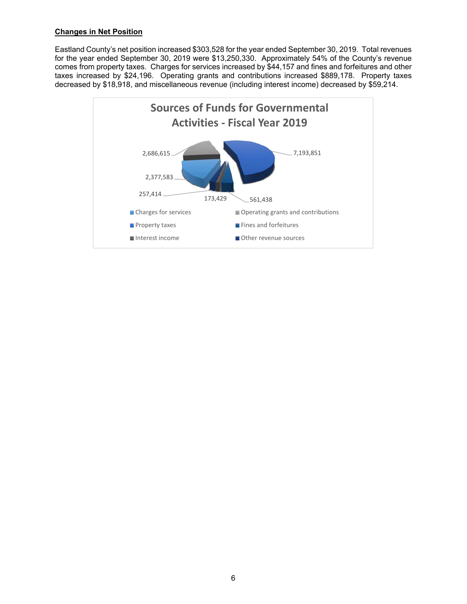# **Changes in Net Position**

Eastland County's net position increased \$303,528 for the year ended September 30, 2019. Total revenues for the year ended September 30, 2019 were \$13,250,330. Approximately 54% of the County's revenue comes from property taxes. Charges for services increased by \$44,157 and fines and forfeitures and other taxes increased by \$24,196. Operating grants and contributions increased \$889,178. Property taxes decreased by \$18,918, and miscellaneous revenue (including interest income) decreased by \$59,214.

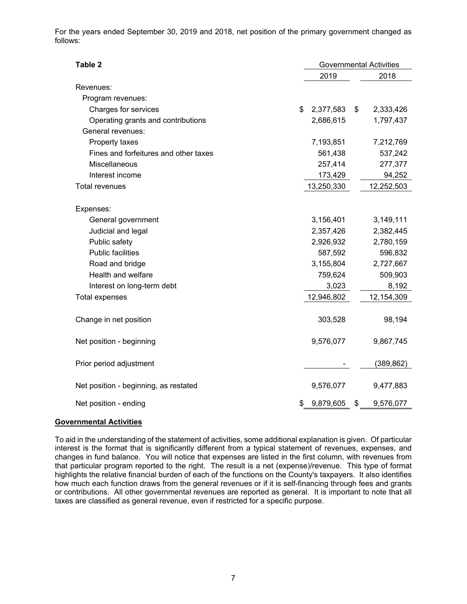For the years ended September 30, 2019 and 2018, net position of the primary government changed as follows:

| Table 2                               | <b>Governmental Activities</b> |               |            |  |  |
|---------------------------------------|--------------------------------|---------------|------------|--|--|
|                                       | 2019                           |               | 2018       |  |  |
| Revenues:                             |                                |               |            |  |  |
| Program revenues:                     |                                |               |            |  |  |
| Charges for services                  | \$<br>2,377,583                | \$            | 2,333,426  |  |  |
| Operating grants and contributions    | 2,686,615                      |               | 1,797,437  |  |  |
| General revenues:                     |                                |               |            |  |  |
| Property taxes                        | 7,193,851                      |               | 7,212,769  |  |  |
| Fines and forfeitures and other taxes | 561,438                        |               | 537,242    |  |  |
| Miscellaneous                         | 257,414                        |               | 277,377    |  |  |
| Interest income                       | 173,429                        |               | 94,252     |  |  |
| <b>Total revenues</b>                 | 13,250,330                     |               | 12,252,503 |  |  |
|                                       |                                |               |            |  |  |
| Expenses:                             |                                |               |            |  |  |
| General government                    | 3,156,401                      |               | 3,149,111  |  |  |
| Judicial and legal                    | 2,357,426                      |               | 2,382,445  |  |  |
| Public safety                         | 2,926,932                      |               | 2,780,159  |  |  |
| <b>Public facilities</b>              | 587,592                        |               | 596,832    |  |  |
| Road and bridge                       | 3,155,804                      |               | 2,727,667  |  |  |
| Health and welfare                    | 759,624                        |               | 509,903    |  |  |
| Interest on long-term debt            | 3,023                          |               | 8,192      |  |  |
| <b>Total expenses</b>                 | 12,946,802                     |               | 12,154,309 |  |  |
| Change in net position                | 303,528                        |               | 98,194     |  |  |
| Net position - beginning              | 9,576,077                      |               | 9,867,745  |  |  |
| Prior period adjustment               |                                |               | (389, 862) |  |  |
| Net position - beginning, as restated | 9,576,077                      |               | 9,477,883  |  |  |
| Net position - ending                 | 9,879,605<br>\$                | $\mathfrak s$ | 9,576,077  |  |  |

### **Governmental Activities**

To aid in the understanding of the statement of activities, some additional explanation is given. Of particular interest is the format that is significantly different from a typical statement of revenues, expenses, and changes in fund balance. You will notice that expenses are listed in the first column, with revenues from that particular program reported to the right. The result is a net (expense)/revenue. This type of format highlights the relative financial burden of each of the functions on the County's taxpayers. It also identifies how much each function draws from the general revenues or if it is self-financing through fees and grants or contributions. All other governmental revenues are reported as general. It is important to note that all taxes are classified as general revenue, even if restricted for a specific purpose.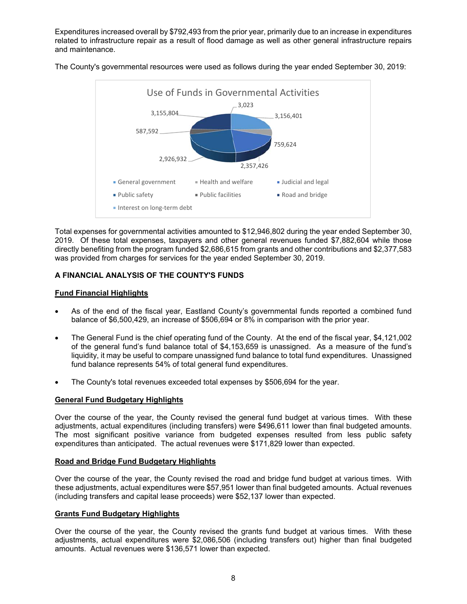Expenditures increased overall by \$792,493 from the prior year, primarily due to an increase in expenditures related to infrastructure repair as a result of flood damage as well as other general infrastructure repairs and maintenance.





Total expenses for governmental activities amounted to \$12,946,802 during the year ended September 30, 2019. Of these total expenses, taxpayers and other general revenues funded \$7,882,604 while those directly benefiting from the program funded \$2,686,615 from grants and other contributions and \$2,377,583 was provided from charges for services for the year ended September 30, 2019.

# **A FINANCIAL ANALYSIS OF THE COUNTY'S FUNDS**

# **Fund Financial Highlights**

- As of the end of the fiscal year, Eastland County's governmental funds reported a combined fund balance of \$6,500,429, an increase of \$506,694 or 8% in comparison with the prior year.
- The General Fund is the chief operating fund of the County. At the end of the fiscal year, \$4,121,002 of the general fund's fund balance total of \$4,153,659 is unassigned. As a measure of the fund's liquidity, it may be useful to compare unassigned fund balance to total fund expenditures. Unassigned fund balance represents 54% of total general fund expenditures.
- The County's total revenues exceeded total expenses by \$506,694 for the year.

# **General Fund Budgetary Highlights**

Over the course of the year, the County revised the general fund budget at various times. With these adjustments, actual expenditures (including transfers) were \$496,611 lower than final budgeted amounts. The most significant positive variance from budgeted expenses resulted from less public safety expenditures than anticipated. The actual revenues were \$171,829 lower than expected.

# **Road and Bridge Fund Budgetary Highlights**

Over the course of the year, the County revised the road and bridge fund budget at various times. With these adjustments, actual expenditures were \$57,951 lower than final budgeted amounts. Actual revenues (including transfers and capital lease proceeds) were \$52,137 lower than expected.

# **Grants Fund Budgetary Highlights**

Over the course of the year, the County revised the grants fund budget at various times. With these adjustments, actual expenditures were \$2,086,506 (including transfers out) higher than final budgeted amounts. Actual revenues were \$136,571 lower than expected.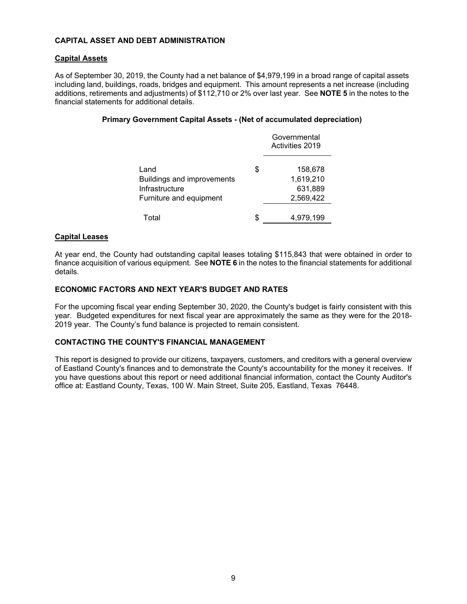# **CAPITAL ASSET AND DEBT ADMINISTRATION**

### **Capital Assets**

As of September 30, 2019, the County had a net balance of \$4,979,199 in a broad range of capital assets including land, buildings, roads, bridges and equipment. This amount represents a net increase (including additions, retirements and adjustments) of \$112,710 or 2% over last year. See **NOTE 5** in the notes to the financial statements for additional details.

### **Primary Government Capital Assets - (Net of accumulated depreciation)**

|                                                                                 |   | Governmental<br>Activities 2019              |
|---------------------------------------------------------------------------------|---|----------------------------------------------|
| Land<br>Buildings and improvements<br>Infrastructure<br>Furniture and equipment | S | 158,678<br>1,619,210<br>631,889<br>2,569,422 |
| Total                                                                           | S | 4,979,199                                    |

### **Capital Leases**

At year end, the County had outstanding capital leases totaling \$115,843 that were obtained in order to finance acquisition of various equipment. See **NOTE 6** in the notes to the financial statements for additional details.

# **ECONOMIC FACTORS AND NEXT YEAR'S BUDGET AND RATES**

For the upcoming fiscal year ending September 30, 2020, the County's budget is fairly consistent with this year. Budgeted expenditures for next fiscal year are approximately the same as they were for the 2018- 2019 year. The County's fund balance is projected to remain consistent.

#### **CONTACTING THE COUNTY'S FINANCIAL MANAGEMENT**

This report is designed to provide our citizens, taxpayers, customers, and creditors with a general overview of Eastland County's finances and to demonstrate the County's accountability for the money it receives. If you have questions about this report or need additional financial information, contact the County Auditor's office at: Eastland County, Texas, 100 W. Main Street, Suite 205, Eastland, Texas 76448.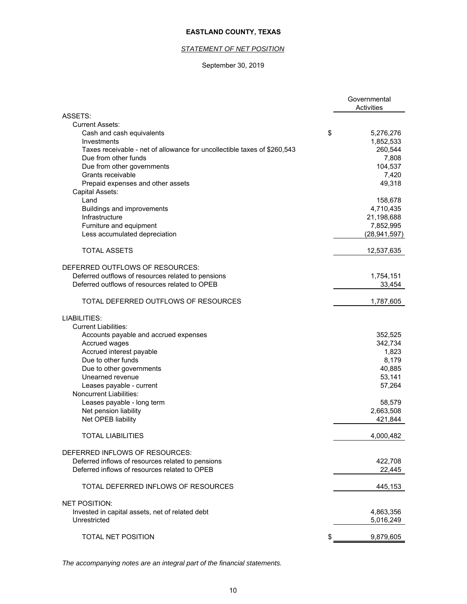### *STATEMENT OF NET POSITION*

### September 30, 2019

|                                                                          | Governmental<br>Activities |
|--------------------------------------------------------------------------|----------------------------|
| ASSETS:                                                                  |                            |
| <b>Current Assets:</b>                                                   |                            |
| Cash and cash equivalents                                                | \$<br>5,276,276            |
| Investments                                                              | 1,852,533                  |
| Taxes receivable - net of allowance for uncollectible taxes of \$260,543 | 260,544                    |
| Due from other funds                                                     | 7,808                      |
| Due from other governments                                               | 104,537                    |
| Grants receivable                                                        | 7,420                      |
| Prepaid expenses and other assets                                        | 49,318                     |
| Capital Assets:                                                          |                            |
| Land                                                                     | 158,678                    |
| Buildings and improvements                                               | 4,710,435                  |
| Infrastructure                                                           | 21,198,688                 |
| Furniture and equipment                                                  | 7,852,995                  |
| Less accumulated depreciation                                            | (28, 941, 597)             |
|                                                                          |                            |
| <b>TOTAL ASSETS</b>                                                      | 12,537,635                 |
| DEFERRED OUTFLOWS OF RESOURCES:                                          |                            |
| Deferred outflows of resources related to pensions                       | 1,754,151                  |
| Deferred outflows of resources related to OPEB                           | 33,454                     |
| TOTAL DEFERRED OUTFLOWS OF RESOURCES                                     | 1,787,605                  |
| LIABILITIES:                                                             |                            |
| <b>Current Liabilities:</b>                                              |                            |
| Accounts payable and accrued expenses                                    | 352,525                    |
| Accrued wages                                                            | 342,734                    |
| Accrued interest payable                                                 | 1,823                      |
| Due to other funds                                                       | 8,179                      |
| Due to other governments                                                 | 40,885                     |
| Unearned revenue                                                         | 53,141                     |
| Leases payable - current                                                 | 57,264                     |
| <b>Noncurrent Liabilities:</b>                                           |                            |
| Leases payable - long term                                               | 58,579                     |
| Net pension liability                                                    | 2,663,508                  |
| Net OPEB liability                                                       | 421,844                    |
| <b>TOTAL LIABILITIES</b>                                                 | 4,000,482                  |
| DEFERRED INFLOWS OF RESOURCES:                                           |                            |
| Deferred inflows of resources related to pensions                        | 422,708                    |
| Deferred inflows of resources related to OPEB                            | 22,445                     |
|                                                                          |                            |
| TOTAL DEFERRED INFLOWS OF RESOURCES                                      | 445,153                    |
| <b>NET POSITION:</b>                                                     |                            |
| Invested in capital assets, net of related debt                          | 4,863,356                  |
| Unrestricted                                                             | 5,016,249                  |
|                                                                          |                            |
| TOTAL NET POSITION                                                       | \$<br>9,879,605            |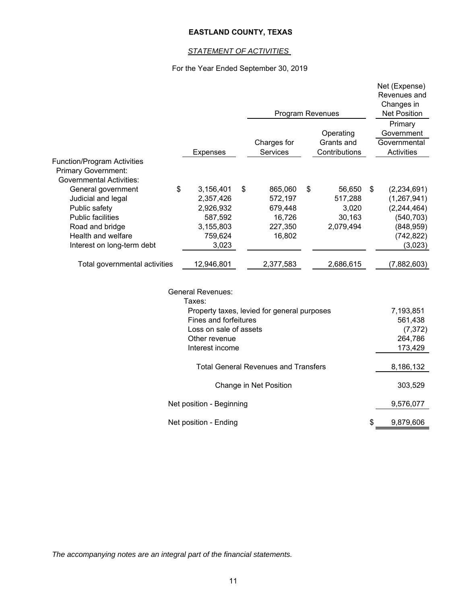# *STATEMENT OF ACTIVITIES*

# For the Year Ended September 30, 2019

|                                    |                                    |                  |               | Net (Expense)<br>Revenues and     |
|------------------------------------|------------------------------------|------------------|---------------|-----------------------------------|
|                                    |                                    |                  |               | Changes in<br><b>Net Position</b> |
|                                    |                                    | Program Revenues |               |                                   |
|                                    |                                    |                  |               | Primary                           |
|                                    |                                    |                  | Operating     | Government                        |
|                                    |                                    | Charges for      | Grants and    | Governmental                      |
|                                    | <b>Expenses</b>                    | <b>Services</b>  | Contributions | Activities                        |
| <b>Function/Program Activities</b> |                                    |                  |               |                                   |
| <b>Primary Government:</b>         |                                    |                  |               |                                   |
| <b>Governmental Activities:</b>    |                                    |                  |               |                                   |
| \$<br>General government           | 3,156,401                          | \$<br>865,060    | \$<br>56,650  | \$<br>(2, 234, 691)               |
| Judicial and legal                 | 2,357,426                          | 572,197          | 517,288       | (1, 267, 941)                     |
| Public safety                      | 2,926,932                          | 679,448          | 3,020         | (2, 244, 464)                     |
| <b>Public facilities</b>           | 587,592                            | 16,726           | 30,163        | (540, 703)                        |
| Road and bridge                    | 3,155,803                          | 227,350          | 2,079,494     | (848, 959)                        |
| Health and welfare                 | 759,624                            | 16,802           |               | (742, 822)                        |
| Interest on long-term debt         | 3,023                              |                  |               | (3,023)                           |
| Total governmental activities      | 12,946,801                         | 2,377,583        | 2,686,615     | (7,882,603)                       |
|                                    | <b>General Revenues:</b><br>Taxes: |                  |               |                                   |

| .                                           |           |
|---------------------------------------------|-----------|
| Property taxes, levied for general purposes | 7,193,851 |
| <b>Fines and forfeitures</b>                | 561,438   |
| Loss on sale of assets                      | (7, 372)  |
| Other revenue                               | 264,786   |
| Interest income                             | 173,429   |
|                                             |           |
| <b>Total General Revenues and Transfers</b> | 8,186,132 |
|                                             |           |
| Change in Net Position                      | 303,529   |
|                                             |           |
| Net position - Beginning                    | 9,576,077 |
|                                             |           |
| \$<br>Net position - Ending                 | 9,879,606 |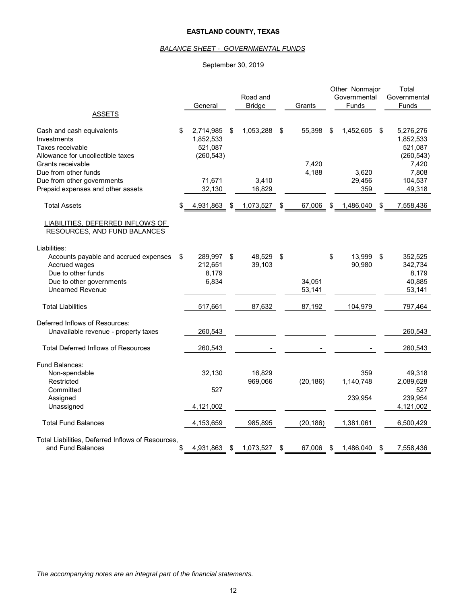# *BALANCE SHEET - GOVERNMENTAL FUNDS*

#### September 30, 2019

|                                                                                                   |                                                       |     | Road and      |                  |    | Other Nonmajor<br>Governmental | Total<br>Governmental                                 |
|---------------------------------------------------------------------------------------------------|-------------------------------------------------------|-----|---------------|------------------|----|--------------------------------|-------------------------------------------------------|
|                                                                                                   | General                                               |     | <b>Bridge</b> | Grants           |    | Funds                          | Funds                                                 |
| <b>ASSETS</b>                                                                                     |                                                       |     |               |                  |    |                                |                                                       |
| Cash and cash equivalents<br>Investments<br>Taxes receivable<br>Allowance for uncollectible taxes | \$<br>2,714,985<br>1,852,533<br>521,087<br>(260, 543) | \$  | 1,053,288     | \$<br>55,398     | \$ | 1,452,605                      | \$<br>5,276,276<br>1,852,533<br>521,087<br>(260, 543) |
| Grants receivable                                                                                 |                                                       |     |               | 7,420            |    |                                | 7,420                                                 |
| Due from other funds                                                                              |                                                       |     |               | 4,188            |    | 3,620                          | 7,808                                                 |
| Due from other governments                                                                        | 71,671                                                |     | 3,410         |                  |    | 29,456                         | 104,537                                               |
| Prepaid expenses and other assets                                                                 | 32,130                                                |     | 16,829        |                  |    | 359                            | 49,318                                                |
| <b>Total Assets</b>                                                                               | \$<br>4,931,863                                       | \$  | 1,073,527     | \$<br>67,006     | S  | 1,486,040                      | \$<br>7,558,436                                       |
| LIABILITIES, DEFERRED INFLOWS OF<br><b>RESOURCES, AND FUND BALANCES</b>                           |                                                       |     |               |                  |    |                                |                                                       |
| Liabilities:                                                                                      |                                                       |     |               |                  |    |                                |                                                       |
| Accounts payable and accrued expenses                                                             | \$<br>289,997                                         | \$  | 48,529        | \$               | \$ | 13,999                         | \$<br>352,525                                         |
| Accrued wages                                                                                     | 212,651                                               |     | 39,103        |                  |    | 90,980                         | 342,734                                               |
| Due to other funds                                                                                | 8,179                                                 |     |               |                  |    |                                | 8,179                                                 |
| Due to other governments<br><b>Unearned Revenue</b>                                               | 6,834                                                 |     |               | 34,051<br>53,141 |    |                                | 40,885<br>53,141                                      |
|                                                                                                   |                                                       |     |               |                  |    |                                |                                                       |
| <b>Total Liabilities</b>                                                                          | 517,661                                               |     | 87,632        | 87,192           |    | 104,979                        | 797,464                                               |
| Deferred Inflows of Resources:                                                                    |                                                       |     |               |                  |    |                                |                                                       |
| Unavailable revenue - property taxes                                                              | 260,543                                               |     |               |                  |    |                                | 260,543                                               |
| <b>Total Deferred Inflows of Resources</b>                                                        | 260,543                                               |     |               |                  |    |                                | 260,543                                               |
| <b>Fund Balances:</b>                                                                             |                                                       |     |               |                  |    |                                |                                                       |
| Non-spendable                                                                                     | 32,130                                                |     | 16,829        |                  |    | 359                            | 49,318                                                |
| Restricted                                                                                        |                                                       |     | 969,066       | (20, 186)        |    | 1,140,748                      | 2,089,628                                             |
| Committed                                                                                         | 527                                                   |     |               |                  |    |                                | 527                                                   |
| Assigned                                                                                          |                                                       |     |               |                  |    | 239,954                        | 239,954                                               |
| Unassigned                                                                                        | 4,121,002                                             |     |               |                  |    |                                | 4,121,002                                             |
| <b>Total Fund Balances</b>                                                                        | 4,153,659                                             |     | 985,895       | (20.186)         |    | 1,381,061                      | 6,500,429                                             |
| Total Liabilities, Deferred Inflows of Resources,                                                 |                                                       |     |               |                  |    |                                |                                                       |
| and Fund Balances                                                                                 | \$<br>4,931,863                                       | -\$ | 1,073,527     | \$<br>67,006     | \$ | 1,486,040 \$                   | 7,558,436                                             |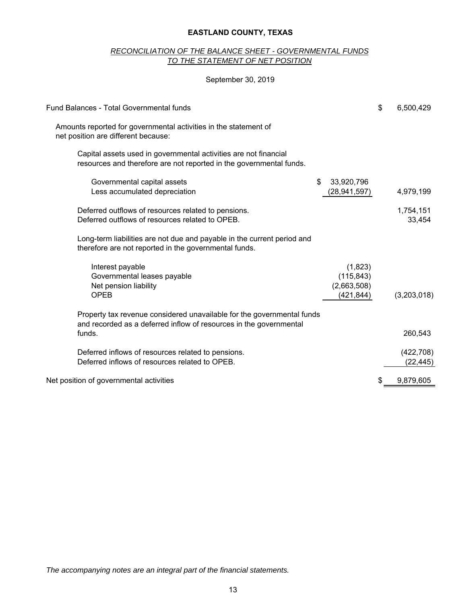# *RECONCILIATION OF THE BALANCE SHEET - GOVERNMENTAL FUNDS TO THE STATEMENT OF NET POSITION*

### September 30, 2019

| Fund Balances - Total Governmental funds                                                                                                               |                                                    | \$<br>6,500,429         |
|--------------------------------------------------------------------------------------------------------------------------------------------------------|----------------------------------------------------|-------------------------|
| Amounts reported for governmental activities in the statement of<br>net position are different because:                                                |                                                    |                         |
| Capital assets used in governmental activities are not financial<br>resources and therefore are not reported in the governmental funds.                |                                                    |                         |
| \$<br>Governmental capital assets<br>Less accumulated depreciation                                                                                     | 33,920,796<br>(28, 941, 597)                       | 4,979,199               |
| Deferred outflows of resources related to pensions.<br>Deferred outflows of resources related to OPEB.                                                 |                                                    | 1,754,151<br>33,454     |
| Long-term liabilities are not due and payable in the current period and<br>therefore are not reported in the governmental funds.                       |                                                    |                         |
| Interest payable<br>Governmental leases payable<br>Net pension liability<br><b>OPEB</b>                                                                | (1,823)<br>(115, 843)<br>(2,663,508)<br>(421, 844) | (3,203,018)             |
| Property tax revenue considered unavailable for the governmental funds<br>and recorded as a deferred inflow of resources in the governmental<br>funds. |                                                    | 260,543                 |
| Deferred inflows of resources related to pensions.<br>Deferred inflows of resources related to OPEB.                                                   |                                                    | (422, 708)<br>(22, 445) |
| Net position of governmental activities                                                                                                                |                                                    | \$<br>9,879,605         |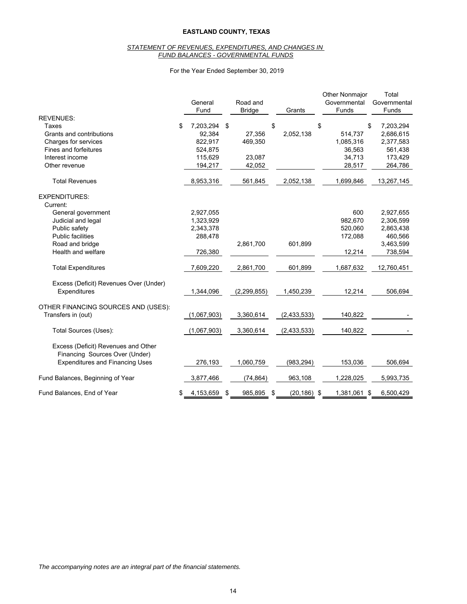#### *STATEMENT OF REVENUES, EXPENDITURES, AND CHANGES IN FUND BALANCES - GOVERNMENTAL FUNDS*

For the Year Ended September 30, 2019

|                                                                       | General<br>Fund | Road and<br><b>Bridge</b> | Grants               | Other Nonmajor<br>Governmental<br>Funds | Total<br>Governmental<br>Funds |
|-----------------------------------------------------------------------|-----------------|---------------------------|----------------------|-----------------------------------------|--------------------------------|
| <b>REVENUES:</b>                                                      |                 |                           |                      |                                         |                                |
| Taxes                                                                 | \$<br>7,203,294 | \$                        | \$                   | \$                                      | \$<br>7,203,294                |
| Grants and contributions                                              | 92,384          | 27,356                    | 2,052,138            | 514,737                                 | 2,686,615                      |
| Charges for services                                                  | 822,917         | 469,350                   |                      | 1,085,316                               | 2,377,583                      |
| Fines and forfeitures                                                 | 524,875         |                           |                      | 36,563                                  | 561,438                        |
| Interest income                                                       | 115,629         | 23,087                    |                      | 34,713                                  | 173,429                        |
| Other revenue                                                         | 194,217         | 42,052                    |                      | 28,517                                  | 264,786                        |
| <b>Total Revenues</b>                                                 | 8,953,316       | 561,845                   | 2,052,138            | 1,699,846                               | 13,267,145                     |
| <b>EXPENDITURES:</b>                                                  |                 |                           |                      |                                         |                                |
| Current:                                                              |                 |                           |                      |                                         |                                |
| General government                                                    | 2,927,055       |                           |                      | 600                                     | 2,927,655                      |
| Judicial and legal                                                    | 1,323,929       |                           |                      | 982,670                                 | 2,306,599                      |
| Public safety                                                         | 2,343,378       |                           |                      | 520,060                                 | 2,863,438                      |
| <b>Public facilities</b>                                              | 288,478         |                           |                      | 172,088                                 | 460,566                        |
| Road and bridge                                                       |                 | 2,861,700                 | 601,899              |                                         | 3,463,599                      |
| Health and welfare                                                    | 726,380         |                           |                      | 12,214                                  | 738,594                        |
| <b>Total Expenditures</b>                                             | 7,609,220       | 2,861,700                 | 601,899              | 1,687,632                               | 12,760,451                     |
| Excess (Deficit) Revenues Over (Under)                                |                 |                           |                      |                                         |                                |
| Expenditures                                                          | 1,344,096       | (2, 299, 855)             | 1,450,239            | 12,214                                  | 506,694                        |
| OTHER FINANCING SOURCES AND (USES):                                   |                 |                           |                      |                                         |                                |
| Transfers in (out)                                                    | (1,067,903)     | 3,360,614                 | (2,433,533)          | 140,822                                 |                                |
| Total Sources (Uses):                                                 | (1,067,903)     | 3,360,614                 | (2,433,533)          | 140,822                                 |                                |
| Excess (Deficit) Revenues and Other<br>Financing Sources Over (Under) |                 |                           |                      |                                         |                                |
| <b>Expenditures and Financing Uses</b>                                | 276,193         | 1,060,759                 | (983, 294)           | 153,036                                 | 506,694                        |
| Fund Balances, Beginning of Year                                      | 3,877,466       | (74, 864)                 | 963,108              | 1,228,025                               | 5,993,735                      |
| Fund Balances. End of Year                                            | \$<br>4,153,659 | \$<br>985,895             | \$<br>$(20, 186)$ \$ | 1,381,061 \$                            | 6,500,429                      |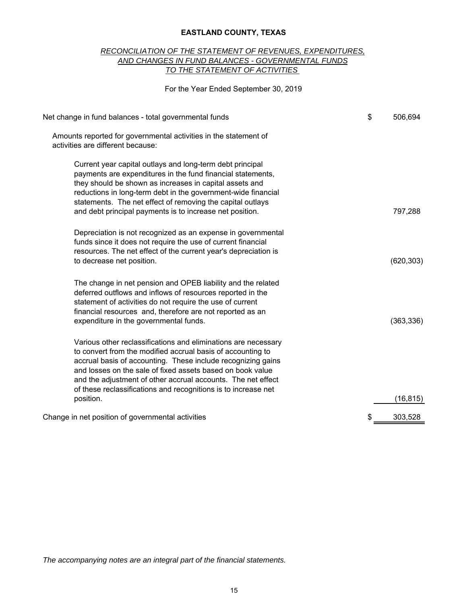# *RECONCILIATION OF THE STATEMENT OF REVENUES, EXPENDITURES, AND CHANGES IN FUND BALANCES - GOVERNMENTAL FUNDS TO THE STATEMENT OF ACTIVITIES*

### For the Year Ended September 30, 2019

| Net change in fund balances - total governmental funds                                                                                                                                                                                                                                                                                                                                                     | \$<br>506,694 |
|------------------------------------------------------------------------------------------------------------------------------------------------------------------------------------------------------------------------------------------------------------------------------------------------------------------------------------------------------------------------------------------------------------|---------------|
| Amounts reported for governmental activities in the statement of<br>activities are different because:                                                                                                                                                                                                                                                                                                      |               |
| Current year capital outlays and long-term debt principal<br>payments are expenditures in the fund financial statements,<br>they should be shown as increases in capital assets and<br>reductions in long-term debt in the government-wide financial<br>statements. The net effect of removing the capital outlays<br>and debt principal payments is to increase net position.                             | 797,288       |
| Depreciation is not recognized as an expense in governmental<br>funds since it does not require the use of current financial<br>resources. The net effect of the current year's depreciation is<br>to decrease net position.                                                                                                                                                                               | (620, 303)    |
| The change in net pension and OPEB liability and the related<br>deferred outflows and inflows of resources reported in the<br>statement of activities do not require the use of current<br>financial resources and, therefore are not reported as an<br>expenditure in the governmental funds.                                                                                                             | (363, 336)    |
| Various other reclassifications and eliminations are necessary<br>to convert from the modified accrual basis of accounting to<br>accrual basis of accounting. These include recognizing gains<br>and losses on the sale of fixed assets based on book value<br>and the adjustment of other accrual accounts. The net effect<br>of these reclassifications and recognitions is to increase net<br>position. | (16, 815)     |
| Change in net position of governmental activities                                                                                                                                                                                                                                                                                                                                                          | \$<br>303,528 |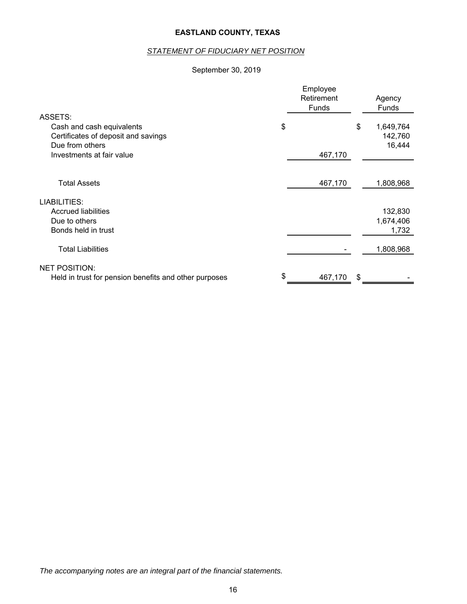# *STATEMENT OF FIDUCIARY NET POSITION*

# September 30, 2019

| ASSETS:                                                                                                          | Employee<br>Retirement<br><b>Funds</b> | Agency<br><b>Funds</b>               |
|------------------------------------------------------------------------------------------------------------------|----------------------------------------|--------------------------------------|
| Cash and cash equivalents<br>Certificates of deposit and savings<br>Due from others<br>Investments at fair value | \$                                     | \$<br>1,649,764<br>142,760<br>16,444 |
| <b>Total Assets</b>                                                                                              | 467,170<br>467,170                     | 1,808,968                            |
| LIABILITIES:<br><b>Accrued liabilities</b><br>Due to others<br>Bonds held in trust                               |                                        | 132,830<br>1,674,406<br>1,732        |
| <b>Total Liabilities</b>                                                                                         |                                        | 1,808,968                            |
| <b>NET POSITION:</b><br>Held in trust for pension benefits and other purposes                                    | \$<br>467,170                          | \$                                   |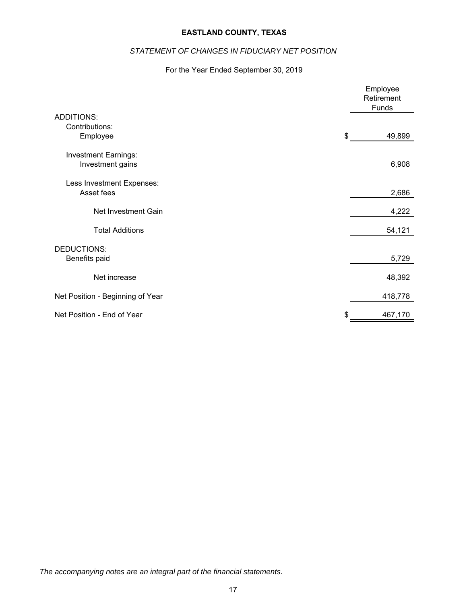# *STATEMENT OF CHANGES IN FIDUCIARY NET POSITION*

# For the Year Ended September 30, 2019

|                                  | Employee<br>Retirement<br>Funds |  |
|----------------------------------|---------------------------------|--|
| <b>ADDITIONS:</b>                |                                 |  |
| Contributions:                   |                                 |  |
| Employee                         | \$<br>49,899                    |  |
| Investment Earnings:             |                                 |  |
| Investment gains                 | 6,908                           |  |
| Less Investment Expenses:        |                                 |  |
| Asset fees                       | 2,686                           |  |
| Net Investment Gain              | 4,222                           |  |
|                                  |                                 |  |
| <b>Total Additions</b>           | 54,121                          |  |
| DEDUCTIONS:                      |                                 |  |
| Benefits paid                    | 5,729                           |  |
| Net increase                     | 48,392                          |  |
|                                  |                                 |  |
| Net Position - Beginning of Year | 418,778                         |  |
| Net Position - End of Year       | \$<br>467,170                   |  |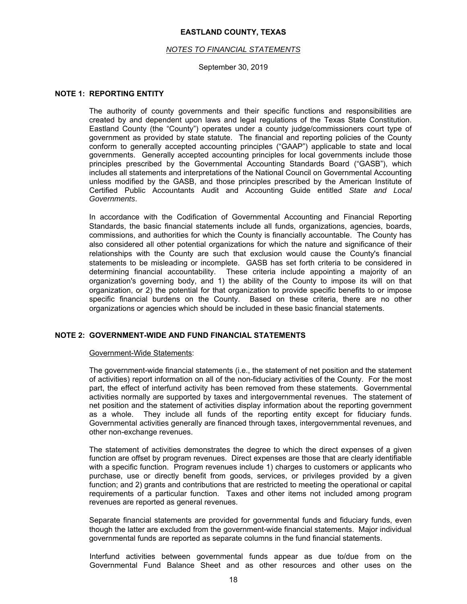#### *NOTES TO FINANCIAL STATEMENTS*

# September 30, 2019

#### **NOTE 1: REPORTING ENTITY**

The authority of county governments and their specific functions and responsibilities are created by and dependent upon laws and legal regulations of the Texas State Constitution. Eastland County (the "County") operates under a county judge/commissioners court type of government as provided by state statute. The financial and reporting policies of the County conform to generally accepted accounting principles ("GAAP") applicable to state and local governments. Generally accepted accounting principles for local governments include those principles prescribed by the Governmental Accounting Standards Board ("GASB"), which includes all statements and interpretations of the National Council on Governmental Accounting unless modified by the GASB, and those principles prescribed by the American Institute of Certified Public Accountants Audit and Accounting Guide entitled *State and Local Governments*.

In accordance with the Codification of Governmental Accounting and Financial Reporting Standards, the basic financial statements include all funds, organizations, agencies, boards, commissions, and authorities for which the County is financially accountable. The County has also considered all other potential organizations for which the nature and significance of their relationships with the County are such that exclusion would cause the County's financial statements to be misleading or incomplete. GASB has set forth criteria to be considered in determining financial accountability. These criteria include appointing a majority of an organization's governing body, and 1) the ability of the County to impose its will on that organization, or 2) the potential for that organization to provide specific benefits to or impose specific financial burdens on the County. Based on these criteria, there are no other organizations or agencies which should be included in these basic financial statements.

#### **NOTE 2: GOVERNMENT-WIDE AND FUND FINANCIAL STATEMENTS**

#### Government-Wide Statements:

The government-wide financial statements (i.e., the statement of net position and the statement of activities) report information on all of the non-fiduciary activities of the County. For the most part, the effect of interfund activity has been removed from these statements. Governmental activities normally are supported by taxes and intergovernmental revenues. The statement of net position and the statement of activities display information about the reporting government as a whole. They include all funds of the reporting entity except for fiduciary funds. Governmental activities generally are financed through taxes, intergovernmental revenues, and other non-exchange revenues.

The statement of activities demonstrates the degree to which the direct expenses of a given function are offset by program revenues. Direct expenses are those that are clearly identifiable with a specific function. Program revenues include 1) charges to customers or applicants who purchase, use or directly benefit from goods, services, or privileges provided by a given function; and 2) grants and contributions that are restricted to meeting the operational or capital requirements of a particular function. Taxes and other items not included among program revenues are reported as general revenues.

Separate financial statements are provided for governmental funds and fiduciary funds, even though the latter are excluded from the government-wide financial statements. Major individual governmental funds are reported as separate columns in the fund financial statements.

Interfund activities between governmental funds appear as due to/due from on the Governmental Fund Balance Sheet and as other resources and other uses on the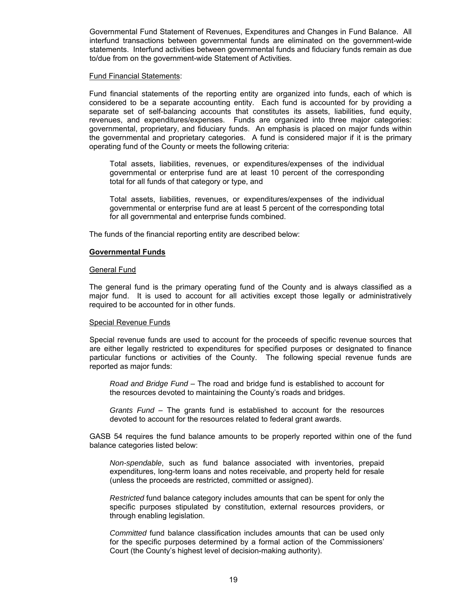Governmental Fund Statement of Revenues, Expenditures and Changes in Fund Balance. All interfund transactions between governmental funds are eliminated on the government-wide statements. Interfund activities between governmental funds and fiduciary funds remain as due to/due from on the government-wide Statement of Activities.

#### Fund Financial Statements:

Fund financial statements of the reporting entity are organized into funds, each of which is considered to be a separate accounting entity. Each fund is accounted for by providing a separate set of self-balancing accounts that constitutes its assets, liabilities, fund equity, revenues, and expenditures/expenses. Funds are organized into three major categories: governmental, proprietary, and fiduciary funds. An emphasis is placed on major funds within the governmental and proprietary categories. A fund is considered major if it is the primary operating fund of the County or meets the following criteria:

Total assets, liabilities, revenues, or expenditures/expenses of the individual governmental or enterprise fund are at least 10 percent of the corresponding total for all funds of that category or type, and

Total assets, liabilities, revenues, or expenditures/expenses of the individual governmental or enterprise fund are at least 5 percent of the corresponding total for all governmental and enterprise funds combined.

The funds of the financial reporting entity are described below:

#### **Governmental Funds**

#### General Fund

The general fund is the primary operating fund of the County and is always classified as a major fund. It is used to account for all activities except those legally or administratively required to be accounted for in other funds.

#### Special Revenue Funds

Special revenue funds are used to account for the proceeds of specific revenue sources that are either legally restricted to expenditures for specified purposes or designated to finance particular functions or activities of the County. The following special revenue funds are reported as major funds:

*Road and Bridge Fund* – The road and bridge fund is established to account for the resources devoted to maintaining the County's roads and bridges.

*Grants Fund* – The grants fund is established to account for the resources devoted to account for the resources related to federal grant awards.

GASB 54 requires the fund balance amounts to be properly reported within one of the fund balance categories listed below:

*Non-spendable*, such as fund balance associated with inventories, prepaid expenditures, long-term loans and notes receivable, and property held for resale (unless the proceeds are restricted, committed or assigned).

*Restricted* fund balance category includes amounts that can be spent for only the specific purposes stipulated by constitution, external resources providers, or through enabling legislation.

*Committed* fund balance classification includes amounts that can be used only for the specific purposes determined by a formal action of the Commissioners' Court (the County's highest level of decision-making authority).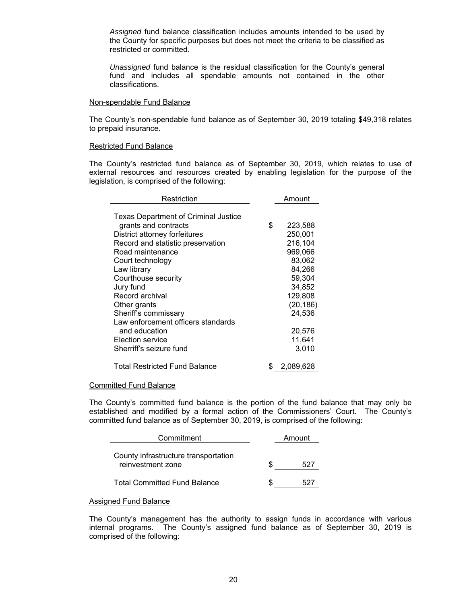*Assigned* fund balance classification includes amounts intended to be used by the County for specific purposes but does not meet the criteria to be classified as restricted or committed.

*Unassigned* fund balance is the residual classification for the County's general fund and includes all spendable amounts not contained in the other classifications.

#### Non-spendable Fund Balance

The County's non-spendable fund balance as of September 30, 2019 totaling \$49,318 relates to prepaid insurance.

#### Restricted Fund Balance

The County's restricted fund balance as of September 30, 2019, which relates to use of external resources and resources created by enabling legislation for the purpose of the legislation, is comprised of the following:

| Restriction                                 | Amount    |
|---------------------------------------------|-----------|
| <b>Texas Department of Criminal Justice</b> |           |
| \$<br>grants and contracts                  | 223,588   |
| District attorney forfeitures               | 250,001   |
| Record and statistic preservation           | 216,104   |
| Road maintenance                            | 969,066   |
| Court technology                            | 83,062    |
| Law library                                 | 84,266    |
| Courthouse security                         | 59,304    |
| Jury fund                                   | 34,852    |
| Record archival                             | 129,808   |
| Other grants                                | (20, 186) |
| Sheriff's commissary                        | 24,536    |
| Law enforcement officers standards          |           |
| and education                               | 20,576    |
| <b>Election service</b>                     | 11,641    |
| Sherriff's seizure fund                     | 3,010     |
| Total Restricted Fund Balance               | 2,089,628 |

#### Committed Fund Balance

The County's committed fund balance is the portion of the fund balance that may only be established and modified by a formal action of the Commissioners' Court. The County's committed fund balance as of September 30, 2019, is comprised of the following:

| Commitment                                                | Amount |
|-----------------------------------------------------------|--------|
| County infrastructure transportation<br>reinvestment zone |        |
| <b>Total Committed Fund Balance</b>                       |        |

#### Assigned Fund Balance

The County's management has the authority to assign funds in accordance with various internal programs. The County's assigned fund balance as of September 30, 2019 is comprised of the following: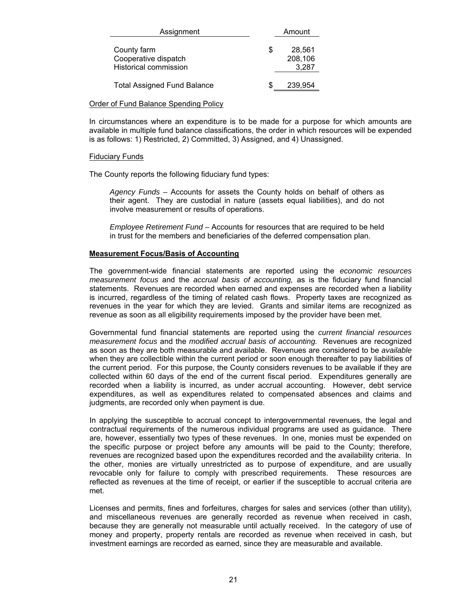| Assignment                                                          |   | Amount                     |
|---------------------------------------------------------------------|---|----------------------------|
| County farm<br>Cooperative dispatch<br><b>Historical commission</b> | S | 28,561<br>208,106<br>3,287 |
| <b>Total Assigned Fund Balance</b>                                  | S | 239,954                    |

#### Order of Fund Balance Spending Policy

In circumstances where an expenditure is to be made for a purpose for which amounts are available in multiple fund balance classifications, the order in which resources will be expended is as follows: 1) Restricted, 2) Committed, 3) Assigned, and 4) Unassigned.

#### Fiduciary Funds

The County reports the following fiduciary fund types:

*Agency Funds –* Accounts for assets the County holds on behalf of others as their agent. They are custodial in nature (assets equal liabilities), and do not involve measurement or results of operations.

*Employee Retirement Fund –* Accounts for resources that are required to be held in trust for the members and beneficiaries of the deferred compensation plan.

#### **Measurement Focus/Basis of Accounting**

The government-wide financial statements are reported using the *economic resources measurement focus* and the *accrual basis of accounting,* as is the fiduciary fund financial statements. Revenues are recorded when earned and expenses are recorded when a liability is incurred, regardless of the timing of related cash flows. Property taxes are recognized as revenues in the year for which they are levied. Grants and similar items are recognized as revenue as soon as all eligibility requirements imposed by the provider have been met.

Governmental fund financial statements are reported using the *current financial resources measurement focus* and the *modified accrual basis of accounting.* Revenues are recognized as soon as they are both measurable and available. Revenues are considered to be *available*  when they are collectible within the current period or soon enough thereafter to pay liabilities of the current period. For this purpose, the County considers revenues to be available if they are collected within 60 days of the end of the current fiscal period. Expenditures generally are recorded when a liability is incurred, as under accrual accounting. However, debt service expenditures, as well as expenditures related to compensated absences and claims and judgments, are recorded only when payment is due.

In applying the susceptible to accrual concept to intergovernmental revenues, the legal and contractual requirements of the numerous individual programs are used as guidance. There are, however, essentially two types of these revenues. In one, monies must be expended on the specific purpose or project before any amounts will be paid to the County; therefore, revenues are recognized based upon the expenditures recorded and the availability criteria. In the other, monies are virtually unrestricted as to purpose of expenditure, and are usually revocable only for failure to comply with prescribed requirements. These resources are reflected as revenues at the time of receipt, or earlier if the susceptible to accrual criteria are met.

Licenses and permits, fines and forfeitures, charges for sales and services (other than utility), and miscellaneous revenues are generally recorded as revenue when received in cash, because they are generally not measurable until actually received. In the category of use of money and property, property rentals are recorded as revenue when received in cash, but investment earnings are recorded as earned, since they are measurable and available.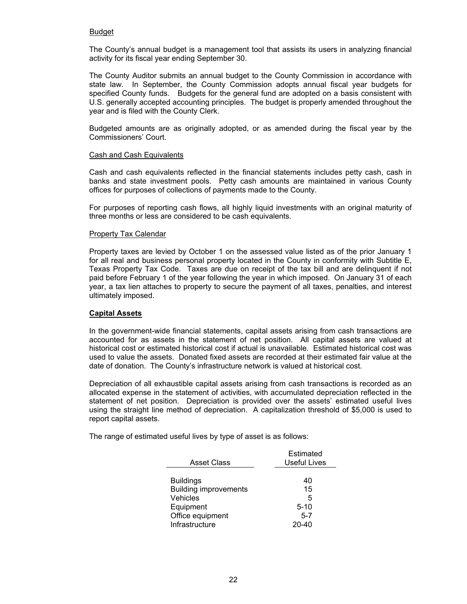### Budget

The County's annual budget is a management tool that assists its users in analyzing financial activity for its fiscal year ending September 30.

The County Auditor submits an annual budget to the County Commission in accordance with state law. In September, the County Commission adopts annual fiscal year budgets for specified County funds. Budgets for the general fund are adopted on a basis consistent with U.S. generally accepted accounting principles. The budget is properly amended throughout the year and is filed with the County Clerk.

Budgeted amounts are as originally adopted, or as amended during the fiscal year by the Commissioners' Court.

#### Cash and Cash Equivalents

Cash and cash equivalents reflected in the financial statements includes petty cash, cash in banks and state investment pools. Petty cash amounts are maintained in various County offices for purposes of collections of payments made to the County.

For purposes of reporting cash flows, all highly liquid investments with an original maturity of three months or less are considered to be cash equivalents.

#### Property Tax Calendar

Property taxes are levied by October 1 on the assessed value listed as of the prior January 1 for all real and business personal property located in the County in conformity with Subtitle E, Texas Property Tax Code. Taxes are due on receipt of the tax bill and are delinquent if not paid before February 1 of the year following the year in which imposed. On January 31 of each year, a tax lien attaches to property to secure the payment of all taxes, penalties, and interest ultimately imposed.

#### **Capital Assets**

In the government-wide financial statements, capital assets arising from cash transactions are accounted for as assets in the statement of net position. All capital assets are valued at historical cost or estimated historical cost if actual is unavailable. Estimated historical cost was used to value the assets. Donated fixed assets are recorded at their estimated fair value at the date of donation. The County's infrastructure network is valued at historical cost.

Depreciation of all exhaustible capital assets arising from cash transactions is recorded as an allocated expense in the statement of activities, with accumulated depreciation reflected in the statement of net position. Depreciation is provided over the assets' estimated useful lives using the straight line method of depreciation. A capitalization threshold of \$5,000 is used to report capital assets.

The range of estimated useful lives by type of asset is as follows:

| <b>Asset Class</b>           | Estimated<br><b>Useful Lives</b> |
|------------------------------|----------------------------------|
| <b>Buildings</b>             | 40                               |
| <b>Building improvements</b> | 15                               |
| <b>Vehicles</b>              | 5                                |
| Equipment                    | $5 - 10$                         |
| Office equipment             | $5 - 7$                          |
| Infrastructure               | 20-40                            |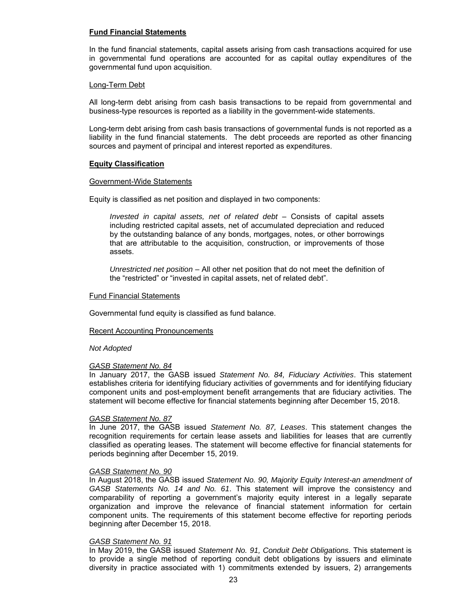#### **Fund Financial Statements**

In the fund financial statements, capital assets arising from cash transactions acquired for use in governmental fund operations are accounted for as capital outlay expenditures of the governmental fund upon acquisition.

#### Long-Term Debt

All long-term debt arising from cash basis transactions to be repaid from governmental and business-type resources is reported as a liability in the government-wide statements.

Long-term debt arising from cash basis transactions of governmental funds is not reported as a liability in the fund financial statements. The debt proceeds are reported as other financing sources and payment of principal and interest reported as expenditures.

#### **Equity Classification**

#### Government-Wide Statements

Equity is classified as net position and displayed in two components:

*Invested in capital assets, net of related debt* – Consists of capital assets including restricted capital assets, net of accumulated depreciation and reduced by the outstanding balance of any bonds, mortgages, notes, or other borrowings that are attributable to the acquisition, construction, or improvements of those assets.

*Unrestricted net position* – All other net position that do not meet the definition of the "restricted" or "invested in capital assets, net of related debt".

#### Fund Financial Statements

Governmental fund equity is classified as fund balance.

#### Recent Accounting Pronouncements

#### *Not Adopted*

#### *GASB Statement No. 84*

In January 2017, the GASB issued *Statement No. 84, Fiduciary Activities*. This statement establishes criteria for identifying fiduciary activities of governments and for identifying fiduciary component units and post-employment benefit arrangements that are fiduciary activities. The statement will become effective for financial statements beginning after December 15, 2018.

#### *GASB Statement No. 87*

In June 2017, the GASB issued *Statement No. 87, Leases*. This statement changes the recognition requirements for certain lease assets and liabilities for leases that are currently classified as operating leases. The statement will become effective for financial statements for periods beginning after December 15, 2019.

#### *GASB Statement No. 90*

In August 2018, the GASB issued *Statement No. 90, Majority Equity Interest-an amendment of GASB Statements No. 14 and No. 61*. This statement will improve the consistency and comparability of reporting a government's majority equity interest in a legally separate organization and improve the relevance of financial statement information for certain component units. The requirements of this statement become effective for reporting periods beginning after December 15, 2018.

#### *GASB Statement No. 91*

In May 2019, the GASB issued *Statement No. 91, Conduit Debt Obligations*. This statement is to provide a single method of reporting conduit debt obligations by issuers and eliminate diversity in practice associated with 1) commitments extended by issuers, 2) arrangements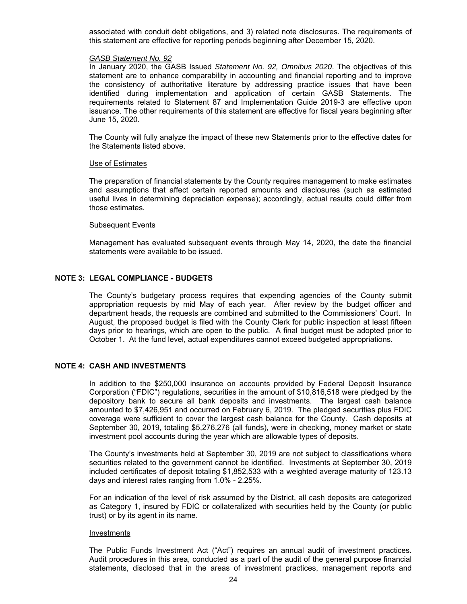associated with conduit debt obligations, and 3) related note disclosures. The requirements of this statement are effective for reporting periods beginning after December 15, 2020.

#### *GASB Statement No. 92*

In January 2020, the GASB Issued *Statement No. 92, Omnibus 2020*. The objectives of this statement are to enhance comparability in accounting and financial reporting and to improve the consistency of authoritative literature by addressing practice issues that have been identified during implementation and application of certain GASB Statements. The requirements related to Statement 87 and Implementation Guide 2019-3 are effective upon issuance. The other requirements of this statement are effective for fiscal years beginning after June 15, 2020.

The County will fully analyze the impact of these new Statements prior to the effective dates for the Statements listed above.

#### Use of Estimates

The preparation of financial statements by the County requires management to make estimates and assumptions that affect certain reported amounts and disclosures (such as estimated useful lives in determining depreciation expense); accordingly, actual results could differ from those estimates.

#### Subsequent Events

Management has evaluated subsequent events through May 14, 2020, the date the financial statements were available to be issued.

### **NOTE 3: LEGAL COMPLIANCE - BUDGETS**

The County's budgetary process requires that expending agencies of the County submit appropriation requests by mid May of each year. After review by the budget officer and department heads, the requests are combined and submitted to the Commissioners' Court. In August, the proposed budget is filed with the County Clerk for public inspection at least fifteen days prior to hearings, which are open to the public. A final budget must be adopted prior to October 1. At the fund level, actual expenditures cannot exceed budgeted appropriations.

# **NOTE 4: CASH AND INVESTMENTS**

In addition to the \$250,000 insurance on accounts provided by Federal Deposit Insurance Corporation ("FDIC") regulations, securities in the amount of \$10,816,518 were pledged by the depository bank to secure all bank deposits and investments. The largest cash balance amounted to \$7,426,951 and occurred on February 6, 2019. The pledged securities plus FDIC coverage were sufficient to cover the largest cash balance for the County. Cash deposits at September 30, 2019, totaling \$5,276,276 (all funds), were in checking, money market or state investment pool accounts during the year which are allowable types of deposits.

The County's investments held at September 30, 2019 are not subject to classifications where securities related to the government cannot be identified. Investments at September 30, 2019 included certificates of deposit totaling \$1,852,533 with a weighted average maturity of 123.13 days and interest rates ranging from 1.0% - 2.25%.

For an indication of the level of risk assumed by the District, all cash deposits are categorized as Category 1, insured by FDIC or collateralized with securities held by the County (or public trust) or by its agent in its name.

#### Investments

The Public Funds Investment Act ("Act") requires an annual audit of investment practices. Audit procedures in this area, conducted as a part of the audit of the general purpose financial statements, disclosed that in the areas of investment practices, management reports and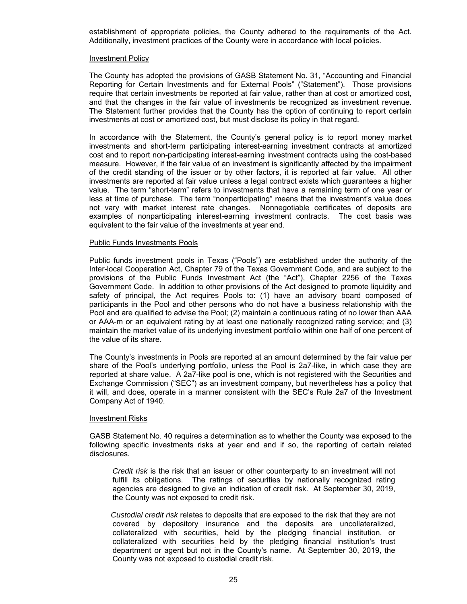establishment of appropriate policies, the County adhered to the requirements of the Act. Additionally, investment practices of the County were in accordance with local policies.

#### Investment Policy

The County has adopted the provisions of GASB Statement No. 31, "Accounting and Financial Reporting for Certain Investments and for External Pools" ("Statement"). Those provisions require that certain investments be reported at fair value, rather than at cost or amortized cost, and that the changes in the fair value of investments be recognized as investment revenue. The Statement further provides that the County has the option of continuing to report certain investments at cost or amortized cost, but must disclose its policy in that regard.

In accordance with the Statement, the County's general policy is to report money market investments and short-term participating interest-earning investment contracts at amortized cost and to report non-participating interest-earning investment contracts using the cost-based measure. However, if the fair value of an investment is significantly affected by the impairment of the credit standing of the issuer or by other factors, it is reported at fair value. All other investments are reported at fair value unless a legal contract exists which guarantees a higher value. The term "short-term" refers to investments that have a remaining term of one year or less at time of purchase. The term "nonparticipating" means that the investment's value does not vary with market interest rate changes. Nonnegotiable certificates of deposits are examples of nonparticipating interest-earning investment contracts. The cost basis was equivalent to the fair value of the investments at year end.

#### Public Funds Investments Pools

Public funds investment pools in Texas ("Pools") are established under the authority of the Inter-local Cooperation Act, Chapter 79 of the Texas Government Code, and are subject to the provisions of the Public Funds Investment Act (the "Act"), Chapter 2256 of the Texas Government Code. In addition to other provisions of the Act designed to promote liquidity and safety of principal, the Act requires Pools to: (1) have an advisory board composed of participants in the Pool and other persons who do not have a business relationship with the Pool and are qualified to advise the Pool; (2) maintain a continuous rating of no lower than AAA or AAA-m or an equivalent rating by at least one nationally recognized rating service; and (3) maintain the market value of its underlying investment portfolio within one half of one percent of the value of its share.

The County's investments in Pools are reported at an amount determined by the fair value per share of the Pool's underlying portfolio, unless the Pool is 2a7-like, in which case they are reported at share value. A 2a7-like pool is one, which is not registered with the Securities and Exchange Commission ("SEC") as an investment company, but nevertheless has a policy that it will, and does, operate in a manner consistent with the SEC's Rule 2a7 of the Investment Company Act of 1940.

#### Investment Risks

GASB Statement No. 40 requires a determination as to whether the County was exposed to the following specific investments risks at year end and if so, the reporting of certain related disclosures.

 *Credit risk* is the risk that an issuer or other counterparty to an investment will not fulfill its obligations. The ratings of securities by nationally recognized rating agencies are designed to give an indication of credit risk. At September 30, 2019, the County was not exposed to credit risk.

*Custodial credit risk* relates to deposits that are exposed to the risk that they are not covered by depository insurance and the deposits are uncollateralized, collateralized with securities, held by the pledging financial institution, or collateralized with securities held by the pledging financial institution's trust department or agent but not in the County's name. At September 30, 2019, the County was not exposed to custodial credit risk.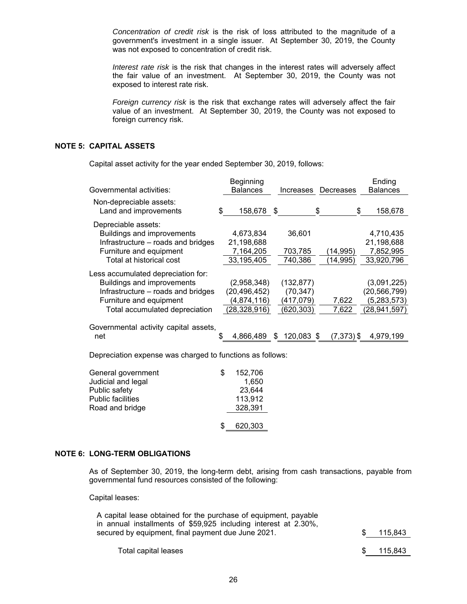*Concentration of credit risk* is the risk of loss attributed to the magnitude of a government's investment in a single issuer. At September 30, 2019, the County was not exposed to concentration of credit risk.

 *Interest rate risk* is the risk that changes in the interest rates will adversely affect the fair value of an investment. At September 30, 2019, the County was not exposed to interest rate risk.

 *Foreign currency risk* is the risk that exchange rates will adversely affect the fair value of an investment. At September 30, 2019, the County was not exposed to foreign currency risk.

# **NOTE 5: CAPITAL ASSETS**

Capital asset activity for the year ended September 30, 2019, follows:

| Governmental activities:                                                                                                                                                   | Beginning<br><b>Balances</b>                                   |                                                     | Increases Decreases    |   | Ending<br><b>Balances</b>                                        |
|----------------------------------------------------------------------------------------------------------------------------------------------------------------------------|----------------------------------------------------------------|-----------------------------------------------------|------------------------|---|------------------------------------------------------------------|
|                                                                                                                                                                            |                                                                |                                                     |                        |   |                                                                  |
| Non-depreciable assets:<br>Land and improvements                                                                                                                           | \$<br>158,678 \$                                               |                                                     | \$                     | S | 158,678                                                          |
| Depreciable assets:<br><b>Buildings and improvements</b><br>Infrastructure – roads and bridges                                                                             | 4,673,834<br>21,198,688                                        | 36,601                                              |                        |   | 4,710,435<br>21,198,688                                          |
| Furniture and equipment<br>Total at historical cost                                                                                                                        | 7,164,205<br>33,195,405                                        | 703,785<br>740,386                                  | (14, 995)<br>(14, 995) |   | 7,852,995<br>33,920,796                                          |
| Less accumulated depreciation for:<br><b>Buildings and improvements</b><br>Infrastructure – roads and bridges<br>Furniture and equipment<br>Total accumulated depreciation | (2,958,348)<br>(20, 496, 452)<br>(4,874,116)<br>(28, 328, 916) | (132, 877)<br>(70, 347)<br>(417, 079)<br>(620, 303) | 7,622<br>7,622         |   | (3,091,225)<br>(20, 566, 799)<br>(5, 283, 573)<br>(28, 941, 597) |
| Governmental activity capital assets,<br>net                                                                                                                               | 4,866,489                                                      | 120.083 \$                                          | $(7,373)$ \$           |   | 4,979,199                                                        |

Depreciation expense was charged to functions as follows:

| General government       | S | 152,706 |
|--------------------------|---|---------|
| Judicial and legal       |   | 1,650   |
| Public safety            |   | 23,644  |
| <b>Public facilities</b> |   | 113,912 |
| Road and bridge          |   | 328,391 |
|                          |   |         |
|                          | S | 620,303 |

# **NOTE 6: LONG-TERM OBLIGATIONS**

As of September 30, 2019, the long-term debt, arising from cash transactions, payable from governmental fund resources consisted of the following:

Capital leases:

| A capital lease obtained for the purchase of equipment, payable<br>in annual installments of \$59,925 including interest at 2.30%, |     |         |
|------------------------------------------------------------------------------------------------------------------------------------|-----|---------|
| secured by equipment, final payment due June 2021.                                                                                 | \$. | 115,843 |
| Total capital leases                                                                                                               | \$. | 115.843 |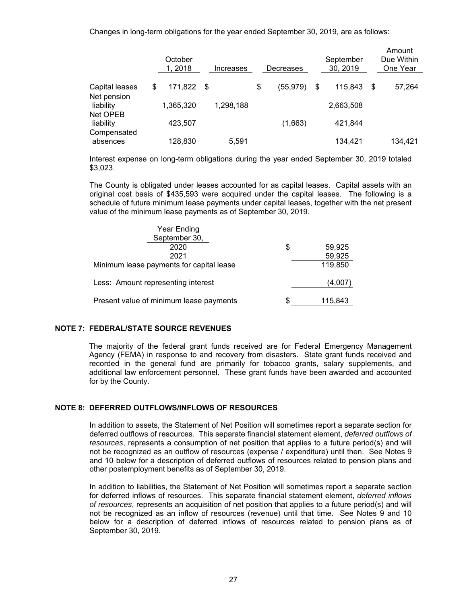Changes in long-term obligations for the year ended September 30, 2019, are as follows:

|                               | October<br>1, 2018 | Increases | Decreases       |   | September<br>30, 2019 | Amount<br>Due Within<br>One Year |
|-------------------------------|--------------------|-----------|-----------------|---|-----------------------|----------------------------------|
| Capital leases<br>Net pension | \$<br>171,822 \$   |           | \$<br>(55, 979) | S | 115,843               | \$<br>57,264                     |
| liability<br>Net OPEB         | 1,365,320          | 1,298,188 |                 |   | 2,663,508             |                                  |
| liability                     | 423,507            |           | (1,663)         |   | 421.844               |                                  |
| Compensated<br>absences       | 128,830            | 5.591     |                 |   | 134,421               | 134.421                          |

Interest expense on long-term obligations during the year ended September 30, 2019 totaled \$3,023.

The County is obligated under leases accounted for as capital leases. Capital assets with an original cost basis of \$435,593 were acquired under the capital leases. The following is a schedule of future minimum lease payments under capital leases, together with the net present value of the minimum lease payments as of September 30, 2019.

| Year Ending                              |              |
|------------------------------------------|--------------|
| September 30,                            |              |
| 2020                                     | \$<br>59,925 |
| 2021                                     | 59,925       |
| Minimum lease payments for capital lease | 119,850      |
| Less: Amount representing interest       | (4,007)      |
| Present value of minimum lease payments  | 115,843      |

#### **NOTE 7: FEDERAL/STATE SOURCE REVENUES**

The majority of the federal grant funds received are for Federal Emergency Management Agency (FEMA) in response to and recovery from disasters. State grant funds received and recorded in the general fund are primarily for tobacco grants, salary supplements, and additional law enforcement personnel. These grant funds have been awarded and accounted for by the County.

#### **NOTE 8: DEFERRED OUTFLOWS/INFLOWS OF RESOURCES**

In addition to assets, the Statement of Net Position will sometimes report a separate section for deferred outflows of resources. This separate financial statement element, *deferred outflows of resources*, represents a consumption of net position that applies to a future period(s) and will not be recognized as an outflow of resources (expense / expenditure) until then. See Notes 9 and 10 below for a description of deferred outflows of resources related to pension plans and other postemployment benefits as of September 30, 2019.

In addition to liabilities, the Statement of Net Position will sometimes report a separate section for deferred inflows of resources. This separate financial statement element, *deferred inflows of resources*, represents an acquisition of net position that applies to a future period(s) and will not be recognized as an inflow of resources (revenue) until that time. See Notes 9 and 10 below for a description of deferred inflows of resources related to pension plans as of September 30, 2019.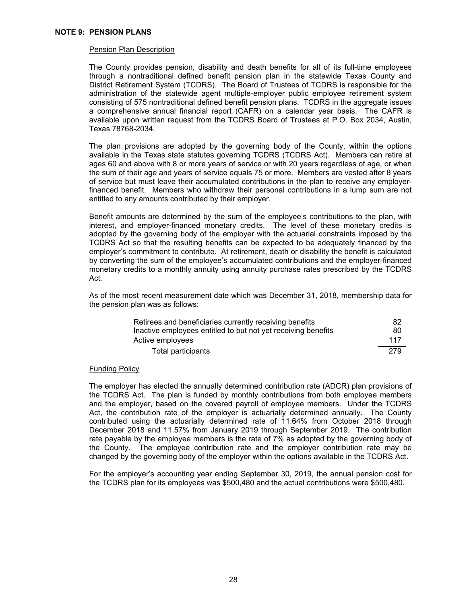#### Pension Plan Description

The County provides pension, disability and death benefits for all of its full-time employees through a nontraditional defined benefit pension plan in the statewide Texas County and District Retirement System (TCDRS). The Board of Trustees of TCDRS is responsible for the administration of the statewide agent multiple-employer public employee retirement system consisting of 575 nontraditional defined benefit pension plans. TCDRS in the aggregate issues a comprehensive annual financial report (CAFR) on a calendar year basis. The CAFR is available upon written request from the TCDRS Board of Trustees at P.O. Box 2034, Austin, Texas 78768-2034.

The plan provisions are adopted by the governing body of the County, within the options available in the Texas state statutes governing TCDRS (TCDRS Act). Members can retire at ages 60 and above with 8 or more years of service or with 20 years regardless of age, or when the sum of their age and years of service equals 75 or more. Members are vested after 8 years of service but must leave their accumulated contributions in the plan to receive any employerfinanced benefit. Members who withdraw their personal contributions in a lump sum are not entitled to any amounts contributed by their employer.

Benefit amounts are determined by the sum of the employee's contributions to the plan, with interest, and employer-financed monetary credits. The level of these monetary credits is adopted by the governing body of the employer with the actuarial constraints imposed by the TCDRS Act so that the resulting benefits can be expected to be adequately financed by the employer's commitment to contribute. At retirement, death or disability the benefit is calculated by converting the sum of the employee's accumulated contributions and the employer-financed monetary credits to a monthly annuity using annuity purchase rates prescribed by the TCDRS Act.

As of the most recent measurement date which was December 31, 2018, membership data for the pension plan was as follows:

| Retirees and beneficiaries currently receiving benefits       | 82  |
|---------------------------------------------------------------|-----|
| Inactive employees entitled to but not yet receiving benefits | 80  |
| Active employees                                              | 117 |
| Total participants                                            | 279 |

#### Funding Policy

The employer has elected the annually determined contribution rate (ADCR) plan provisions of the TCDRS Act. The plan is funded by monthly contributions from both employee members and the employer, based on the covered payroll of employee members. Under the TCDRS Act, the contribution rate of the employer is actuarially determined annually. The County contributed using the actuarially determined rate of 11.64% from October 2018 through December 2018 and 11.57% from January 2019 through September 2019. The contribution rate payable by the employee members is the rate of 7% as adopted by the governing body of the County. The employee contribution rate and the employer contribution rate may be changed by the governing body of the employer within the options available in the TCDRS Act.

For the employer's accounting year ending September 30, 2019, the annual pension cost for the TCDRS plan for its employees was \$500,480 and the actual contributions were \$500,480.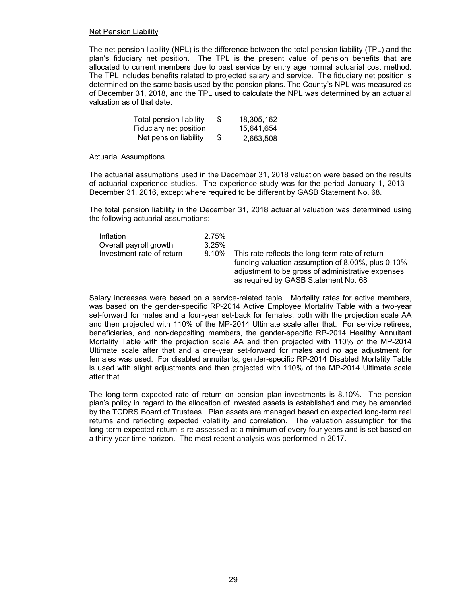#### Net Pension Liability

The net pension liability (NPL) is the difference between the total pension liability (TPL) and the plan's fiduciary net position. The TPL is the present value of pension benefits that are allocated to current members due to past service by entry age normal actuarial cost method. The TPL includes benefits related to projected salary and service. The fiduciary net position is determined on the same basis used by the pension plans. The County's NPL was measured as of December 31, 2018, and the TPL used to calculate the NPL was determined by an actuarial valuation as of that date.

| Total pension liability | \$<br>18,305,162 |
|-------------------------|------------------|
| Fiduciary net position  | 15.641.654       |
| Net pension liability   | \$<br>2,663,508  |

#### Actuarial Assumptions

The actuarial assumptions used in the December 31, 2018 valuation were based on the results of actuarial experience studies. The experience study was for the period January 1, 2013 – December 31, 2016, except where required to be different by GASB Statement No. 68.

The total pension liability in the December 31, 2018 actuarial valuation was determined using the following actuarial assumptions:

| Inflation                 | 2.75% |                                                   |
|---------------------------|-------|---------------------------------------------------|
| Overall payroll growth    | 3.25% |                                                   |
| Investment rate of return | 8.10% | This rate reflects the long-term rate of return   |
|                           |       | funding valuation assumption of 8.00%, plus 0.10% |
|                           |       | adjustment to be gross of administrative expenses |
|                           |       | as required by GASB Statement No. 68              |

Salary increases were based on a service-related table. Mortality rates for active members, was based on the gender-specific RP-2014 Active Employee Mortality Table with a two-year set-forward for males and a four-year set-back for females, both with the projection scale AA and then projected with 110% of the MP-2014 Ultimate scale after that. For service retirees, beneficiaries, and non-depositing members, the gender-specific RP-2014 Healthy Annuitant Mortality Table with the projection scale AA and then projected with 110% of the MP-2014 Ultimate scale after that and a one-year set-forward for males and no age adjustment for females was used. For disabled annuitants, gender-specific RP-2014 Disabled Mortality Table is used with slight adjustments and then projected with 110% of the MP-2014 Ultimate scale after that.

The long-term expected rate of return on pension plan investments is 8.10%. The pension plan's policy in regard to the allocation of invested assets is established and may be amended by the TCDRS Board of Trustees. Plan assets are managed based on expected long-term real returns and reflecting expected volatility and correlation. The valuation assumption for the long-term expected return is re-assessed at a minimum of every four years and is set based on a thirty-year time horizon. The most recent analysis was performed in 2017.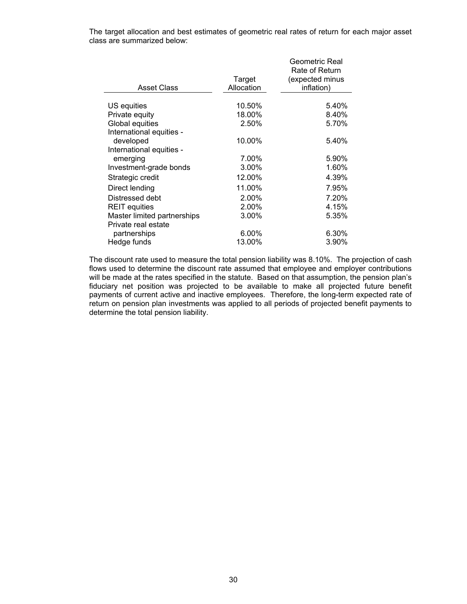The target allocation and best estimates of geometric real rates of return for each major asset class are summarized below:

| Asset Class                 | Target<br>Allocation | Geometric Real<br>Rate of Return<br>(expected minus<br>inflation) |
|-----------------------------|----------------------|-------------------------------------------------------------------|
|                             |                      |                                                                   |
| US equities                 | 10.50%               | 5.40%                                                             |
| Private equity              | 18.00%               | 8.40%                                                             |
| Global equities             | 2.50%                | 5.70%                                                             |
| International equities -    |                      |                                                                   |
| developed                   | 10.00%               | 5.40%                                                             |
| International equities -    |                      |                                                                   |
| emerging                    | 7.00%                | 5.90%                                                             |
| Investment-grade bonds      | 3.00%                | 1.60%                                                             |
| Strategic credit            | 12.00%               | 4.39%                                                             |
| Direct lending              | 11.00%               | 7.95%                                                             |
| Distressed debt             | 2.00%                | 7.20%                                                             |
| <b>REIT</b> equities        | 2.00%                | 4.15%                                                             |
| Master limited partnerships | 3.00%                | 5.35%                                                             |
| Private real estate         |                      |                                                                   |
| partnerships                | 6.00%                | 6.30%                                                             |
| Hedge funds                 | 13.00%               | 3.90%                                                             |

The discount rate used to measure the total pension liability was 8.10%. The projection of cash flows used to determine the discount rate assumed that employee and employer contributions will be made at the rates specified in the statute. Based on that assumption, the pension plan's fiduciary net position was projected to be available to make all projected future benefit payments of current active and inactive employees. Therefore, the long-term expected rate of return on pension plan investments was applied to all periods of projected benefit payments to determine the total pension liability.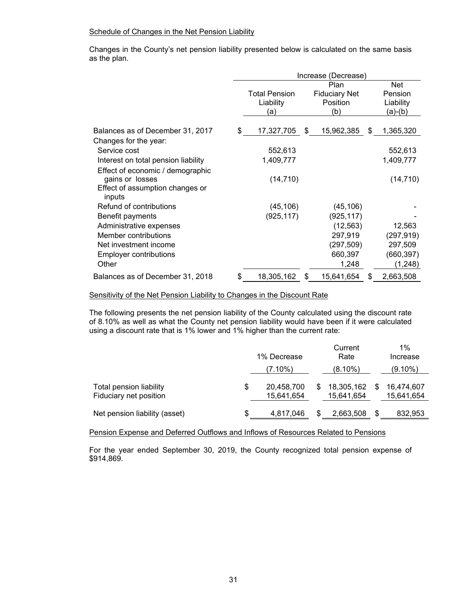#### Schedule of Changes in the Net Pension Liability

Changes in the County's net pension liability presented below is calculated on the same basis as the plan.

|                                           | Increase (Decrease) |                      |    |                      |    |            |  |
|-------------------------------------------|---------------------|----------------------|----|----------------------|----|------------|--|
|                                           |                     |                      |    | Plan                 |    | <b>Net</b> |  |
|                                           |                     | <b>Total Pension</b> |    | <b>Fiduciary Net</b> |    | Pension    |  |
|                                           |                     | Liability            |    | <b>Position</b>      |    | Liability  |  |
|                                           |                     | (a)                  |    | (b)                  |    | $(a)-(b)$  |  |
|                                           | \$                  |                      |    |                      |    |            |  |
| Balances as of December 31, 2017          |                     | 17,327,705           | \$ | 15,962,385           | \$ | 1,365,320  |  |
| Changes for the year:                     |                     |                      |    |                      |    |            |  |
| Service cost                              |                     | 552,613              |    |                      |    | 552,613    |  |
| Interest on total pension liability       |                     | 1,409,777            |    |                      |    | 1,409,777  |  |
| Effect of economic / demographic          |                     |                      |    |                      |    |            |  |
| gains or losses                           |                     | (14, 710)            |    |                      |    | (14, 710)  |  |
| Effect of assumption changes or<br>inputs |                     |                      |    |                      |    |            |  |
| Refund of contributions                   |                     | (45, 106)            |    | (45, 106)            |    |            |  |
| Benefit payments                          |                     | (925,117)            |    | (925, 117)           |    |            |  |
| Administrative expenses                   |                     |                      |    | (12, 563)            |    | 12,563     |  |
| Member contributions                      |                     |                      |    | 297,919              |    | (297, 919) |  |
| Net investment income                     |                     |                      |    | (297, 509)           |    | 297,509    |  |
| <b>Employer contributions</b>             |                     |                      |    | 660,397              |    | (660, 397) |  |
| Other                                     |                     |                      |    | 1,248                |    | (1, 248)   |  |
| Balances as of December 31, 2018          |                     | 18,305,162           | \$ | 15,641,654           | S. | 2,663,508  |  |

### Sensitivity of the Net Pension Liability to Changes in the Discount Rate

The following presents the net pension liability of the County calculated using the discount rate of 8.10% as well as what the County net pension liability would have been if it were calculated using a discount rate that is 1% lower and 1% higher than the current rate:

|                                                   | 1% Decrease                    |     | Current<br>Rate          |    | $1\%$<br>Increase        |
|---------------------------------------------------|--------------------------------|-----|--------------------------|----|--------------------------|
|                                                   | $(7.10\%)$                     |     | (8.10%)                  |    | (9.10%)                  |
| Total pension liability<br>Fiduciary net position | \$<br>20,458,700<br>15,641,654 | \$. | 18,305,162<br>15,641,654 | S. | 16,474,607<br>15,641,654 |
| Net pension liability (asset)                     | \$<br>4,817,046                | \$  | 2,663,508                |    | 832,953                  |

Pension Expense and Deferred Outflows and Inflows of Resources Related to Pensions

For the year ended September 30, 2019, the County recognized total pension expense of \$914,869.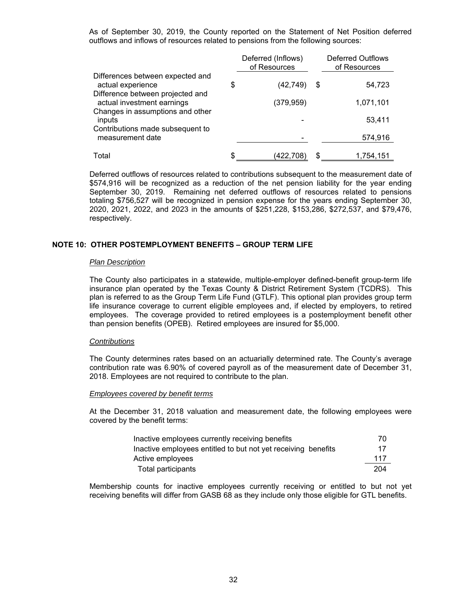As of September 30, 2019, the County reported on the Statement of Net Position deferred outflows and inflows of resources related to pensions from the following sources:

|                                                                                                    | Deferred (Inflows)<br>of Resources |    | <b>Deferred Outflows</b><br>of Resources |
|----------------------------------------------------------------------------------------------------|------------------------------------|----|------------------------------------------|
| Differences between expected and<br>actual experience                                              | \$<br>(42, 749)                    | S  | 54,723                                   |
| Difference between projected and<br>actual investment earnings<br>Changes in assumptions and other | (379, 959)                         |    | 1,071,101                                |
| inputs                                                                                             |                                    |    | 53,411                                   |
| Contributions made subsequent to<br>measurement date                                               |                                    |    | 574,916                                  |
| Total                                                                                              | \$<br>(422,708)                    | \$ | 1,754,151                                |

Deferred outflows of resources related to contributions subsequent to the measurement date of \$574,916 will be recognized as a reduction of the net pension liability for the year ending September 30, 2019. Remaining net deferred outflows of resources related to pensions totaling \$756,527 will be recognized in pension expense for the years ending September 30, 2020, 2021, 2022, and 2023 in the amounts of \$251,228, \$153,286, \$272,537, and \$79,476, respectively.

#### **NOTE 10: OTHER POSTEMPLOYMENT BENEFITS – GROUP TERM LIFE**

#### *Plan Description*

The County also participates in a statewide, multiple-employer defined-benefit group-term life insurance plan operated by the Texas County & District Retirement System (TCDRS). This plan is referred to as the Group Term Life Fund (GTLF). This optional plan provides group term life insurance coverage to current eligible employees and, if elected by employers, to retired employees. The coverage provided to retired employees is a postemployment benefit other than pension benefits (OPEB). Retired employees are insured for \$5,000.

#### *Contributions*

The County determines rates based on an actuarially determined rate. The County's average contribution rate was 6.90% of covered payroll as of the measurement date of December 31, 2018. Employees are not required to contribute to the plan.

#### *Employees covered by benefit terms*

At the December 31, 2018 valuation and measurement date, the following employees were covered by the benefit terms:

| Inactive employees currently receiving benefits               | 70  |
|---------------------------------------------------------------|-----|
| Inactive employees entitled to but not yet receiving benefits | 17  |
| Active employees                                              | 117 |
| Total participants                                            | 204 |

Membership counts for inactive employees currently receiving or entitled to but not yet receiving benefits will differ from GASB 68 as they include only those eligible for GTL benefits.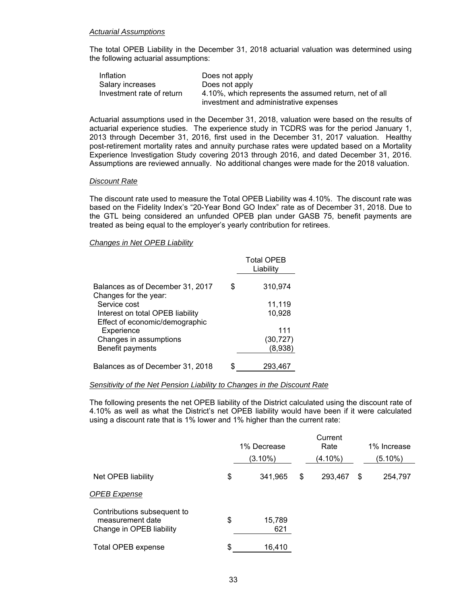#### *Actuarial Assumptions*

The total OPEB Liability in the December 31, 2018 actuarial valuation was determined using the following actuarial assumptions:

| Inflation                 | Does not apply                                         |
|---------------------------|--------------------------------------------------------|
| Salary increases          | Does not apply                                         |
| Investment rate of return | 4.10%, which represents the assumed return, net of all |
|                           | investment and administrative expenses                 |

Actuarial assumptions used in the December 31, 2018, valuation were based on the results of actuarial experience studies. The experience study in TCDRS was for the period January 1, 2013 through December 31, 2016, first used in the December 31, 2017 valuation. Healthy post-retirement mortality rates and annuity purchase rates were updated based on a Mortality Experience Investigation Study covering 2013 through 2016, and dated December 31, 2016. Assumptions are reviewed annually. No additional changes were made for the 2018 valuation.

#### *Discount Rate*

The discount rate used to measure the Total OPEB Liability was 4.10%. The discount rate was based on the Fidelity Index's "20-Year Bond GO Index" rate as of December 31, 2018. Due to the GTL being considered an unfunded OPEB plan under GASB 75, benefit payments are treated as being equal to the employer's yearly contribution for retirees.

#### *Changes in Net OPEB Liability*

|                                                           |    | <b>Total OPEB</b><br>Liability |
|-----------------------------------------------------------|----|--------------------------------|
| Balances as of December 31, 2017<br>Changes for the year: | S. | 310,974                        |
| Service cost                                              |    | 11,119                         |
| Interest on total OPEB liability                          |    | 10,928                         |
| Effect of economic/demographic                            |    |                                |
| Experience                                                |    | 111                            |
| Changes in assumptions                                    |    | (30, 727)                      |
| Benefit payments                                          |    | (8,938)                        |
| Balances as of December 31, 2018                          | ደ  | 293,467                        |

#### *Sensitivity of the Net Pension Liability to Changes in the Discount Rate*

The following presents the net OPEB liability of the District calculated using the discount rate of 4.10% as well as what the District's net OPEB liability would have been if it were calculated using a discount rate that is 1% lower and 1% higher than the current rate:

|                                                                             | 1% Decrease<br>$(3.10\%)$ | Current<br>Rate<br>$(4.10\%)$ | 1% Increase<br>$(5.10\%)$ |
|-----------------------------------------------------------------------------|---------------------------|-------------------------------|---------------------------|
| Net OPEB liability                                                          | \$<br>341,965             | \$<br>293,467                 | \$<br>254,797             |
| OPEB Expense                                                                |                           |                               |                           |
| Contributions subsequent to<br>measurement date<br>Change in OPEB liability | \$<br>15,789<br>621       |                               |                           |
| Total OPEB expense                                                          | \$<br>16,410              |                               |                           |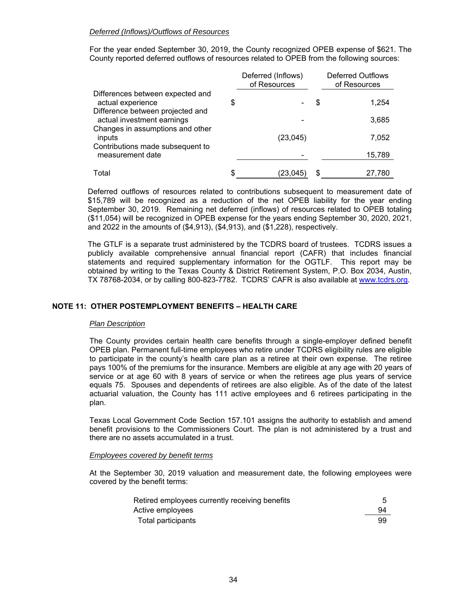### *Deferred (Inflows)/Outflows of Resources*

For the year ended September 30, 2019, the County recognized OPEB expense of \$621. The County reported deferred outflows of resources related to OPEB from the following sources:

|                                                                                           |    | Deferred (Inflows)<br>of Resources |   | <b>Deferred Outflows</b><br>of Resources |  |
|-------------------------------------------------------------------------------------------|----|------------------------------------|---|------------------------------------------|--|
| Differences between expected and<br>actual experience<br>Difference between projected and | \$ |                                    | S | 1,254                                    |  |
| actual investment earnings                                                                |    |                                    |   | 3,685                                    |  |
| Changes in assumptions and other<br>inputs                                                |    | (23,045)                           |   | 7,052                                    |  |
| Contributions made subsequent to<br>measurement date                                      |    |                                    |   | 15,789                                   |  |
| Total                                                                                     | \$ | (23.045)                           |   | 27,780                                   |  |

Deferred outflows of resources related to contributions subsequent to measurement date of \$15,789 will be recognized as a reduction of the net OPEB liability for the year ending September 30, 2019. Remaining net deferred (inflows) of resources related to OPEB totaling (\$11,054) will be recognized in OPEB expense for the years ending September 30, 2020, 2021, and 2022 in the amounts of (\$4,913), (\$4,913), and (\$1,228), respectively.

The GTLF is a separate trust administered by the TCDRS board of trustees. TCDRS issues a publicly available comprehensive annual financial report (CAFR) that includes financial statements and required supplementary information for the OGTLF. This report may be obtained by writing to the Texas County & District Retirement System, P.O. Box 2034, Austin, TX 78768-2034, or by calling 800-823-7782. TCDRS' CAFR is also available at www.tcdrs.org.

# **NOTE 11: OTHER POSTEMPLOYMENT BENEFITS – HEALTH CARE**

#### *Plan Description*

The County provides certain health care benefits through a single-employer defined benefit OPEB plan. Permanent full-time employees who retire under TCDRS eligibility rules are eligible to participate in the county's health care plan as a retiree at their own expense. The retiree pays 100% of the premiums for the insurance. Members are eligible at any age with 20 years of service or at age 60 with 8 years of service or when the retirees age plus years of service equals 75. Spouses and dependents of retirees are also eligible. As of the date of the latest actuarial valuation, the County has 111 active employees and 6 retirees participating in the plan.

Texas Local Government Code Section 157.101 assigns the authority to establish and amend benefit provisions to the Commissioners Court. The plan is not administered by a trust and there are no assets accumulated in a trust.

#### *Employees covered by benefit terms*

At the September 30, 2019 valuation and measurement date, the following employees were covered by the benefit terms:

| Retired employees currently receiving benefits |    |
|------------------------------------------------|----|
| Active employees                               | 94 |
| Total participants                             | 99 |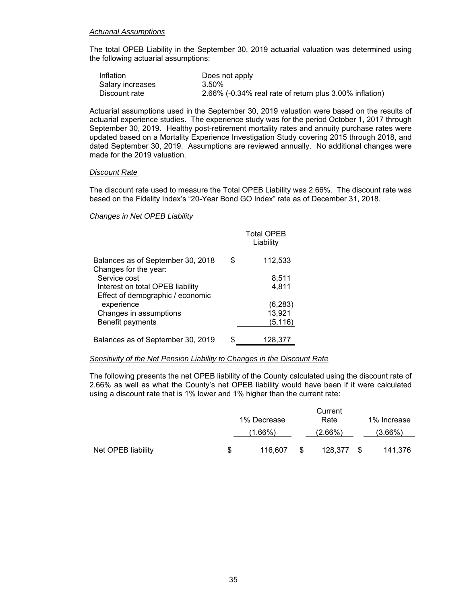#### *Actuarial Assumptions*

The total OPEB Liability in the September 30, 2019 actuarial valuation was determined using the following actuarial assumptions:

| Inflation        | Does not apply                                          |
|------------------|---------------------------------------------------------|
| Salary increases | 3.50%                                                   |
| Discount rate    | 2.66% (-0.34% real rate of return plus 3.00% inflation) |

Actuarial assumptions used in the September 30, 2019 valuation were based on the results of actuarial experience studies. The experience study was for the period October 1, 2017 through September 30, 2019. Healthy post-retirement mortality rates and annuity purchase rates were updated based on a Mortality Experience Investigation Study covering 2015 through 2018, and dated September 30, 2019. Assumptions are reviewed annually. No additional changes were made for the 2019 valuation.

#### *Discount Rate*

The discount rate used to measure the Total OPEB Liability was 2.66%. The discount rate was based on the Fidelity Index's "20-Year Bond GO Index" rate as of December 31, 2018.

#### *Changes in Net OPEB Liability*

|                                                            |   | <b>Total OPEB</b><br>Liability |  |  |
|------------------------------------------------------------|---|--------------------------------|--|--|
| Balances as of September 30, 2018<br>Changes for the year: | S | 112,533                        |  |  |
| Service cost                                               |   | 8,511                          |  |  |
| Interest on total OPEB liability                           |   | 4,811                          |  |  |
| Effect of demographic / economic                           |   |                                |  |  |
| experience                                                 |   | (6, 283)                       |  |  |
| Changes in assumptions                                     |   | 13,921                         |  |  |
| Benefit payments                                           |   | (5, 116)                       |  |  |
|                                                            |   |                                |  |  |
| Balances as of September 30, 2019                          |   | 128,377                        |  |  |

#### *Sensitivity of the Net Pension Liability to Changes in the Discount Rate*

The following presents the net OPEB liability of the County calculated using the discount rate of 2.66% as well as what the County's net OPEB liability would have been if it were calculated using a discount rate that is 1% lower and 1% higher than the current rate:

|                    |   | Current<br>1% Decrease<br>Rate |   |            |  | 1% Increase |  |
|--------------------|---|--------------------------------|---|------------|--|-------------|--|
|                    |   | (1.66%)                        |   | $(2.66\%)$ |  | $(3.66\%)$  |  |
| Net OPEB liability | S | 116.607                        | S | 128,377 \$ |  | 141.376     |  |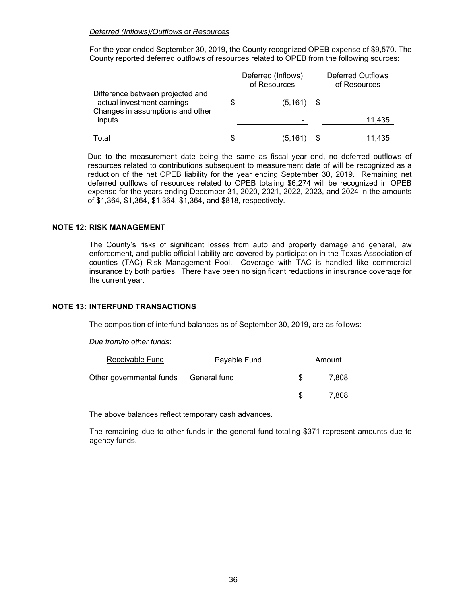# *Deferred (Inflows)/Outflows of Resources*

For the year ended September 30, 2019, the County recognized OPEB expense of \$9,570. The County reported deferred outflows of resources related to OPEB from the following sources:

|                                                                                                    |   | Deferred (Inflows)<br>of Resources |  | <b>Deferred Outflows</b><br>of Resources |
|----------------------------------------------------------------------------------------------------|---|------------------------------------|--|------------------------------------------|
| Difference between projected and<br>actual investment earnings<br>Changes in assumptions and other |   | $(5, 161)$ \$                      |  |                                          |
| inputs                                                                                             |   | $\blacksquare$                     |  | 11,435                                   |
| Total                                                                                              | S | (5.161)                            |  | 11,435                                   |

Due to the measurement date being the same as fiscal year end, no deferred outflows of resources related to contributions subsequent to measurement date of will be recognized as a reduction of the net OPEB liability for the year ending September 30, 2019. Remaining net deferred outflows of resources related to OPEB totaling \$6,274 will be recognized in OPEB expense for the years ending December 31, 2020, 2021, 2022, 2023, and 2024 in the amounts of \$1,364, \$1,364, \$1,364, \$1,364, and \$818, respectively.

### **NOTE 12: RISK MANAGEMENT**

The County's risks of significant losses from auto and property damage and general, law enforcement, and public official liability are covered by participation in the Texas Association of counties (TAC) Risk Management Pool. Coverage with TAC is handled like commercial insurance by both parties. There have been no significant reductions in insurance coverage for the current year.

#### **NOTE 13: INTERFUND TRANSACTIONS**

The composition of interfund balances as of September 30, 2019, are as follows:

*Due from/to other funds*:

| Receivable Fund                       | Payable Fund | Amount |
|---------------------------------------|--------------|--------|
| Other governmental funds General fund |              | 7,808  |
|                                       |              | 7,808  |

The above balances reflect temporary cash advances.

The remaining due to other funds in the general fund totaling \$371 represent amounts due to agency funds.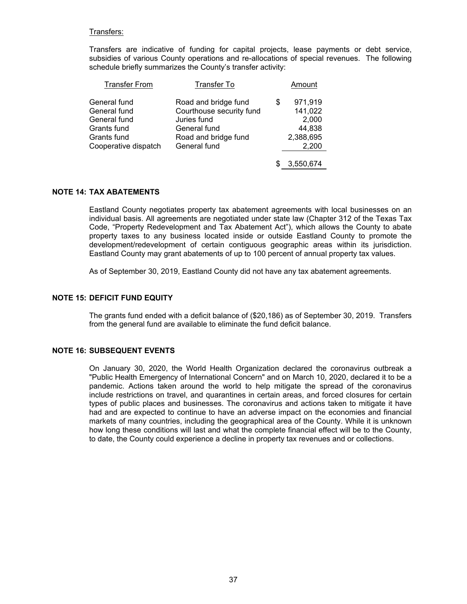### Transfers:

Transfers are indicative of funding for capital projects, lease payments or debt service, subsidies of various County operations and re-allocations of special revenues. The following schedule briefly summarizes the County's transfer activity:

| <b>Transfer From</b>                                                                               | <b>Transfer To</b>                                                                                                      | Amount                                                            |
|----------------------------------------------------------------------------------------------------|-------------------------------------------------------------------------------------------------------------------------|-------------------------------------------------------------------|
| General fund<br>General fund<br>General fund<br>Grants fund<br>Grants fund<br>Cooperative dispatch | Road and bridge fund<br>Courthouse security fund<br>Juries fund<br>General fund<br>Road and bridge fund<br>General fund | \$<br>971,919<br>141,022<br>2,000<br>44,838<br>2,388,695<br>2,200 |
|                                                                                                    |                                                                                                                         | 3,550,674                                                         |

#### **NOTE 14: TAX ABATEMENTS**

Eastland County negotiates property tax abatement agreements with local businesses on an individual basis. All agreements are negotiated under state law (Chapter 312 of the Texas Tax Code, "Property Redevelopment and Tax Abatement Act"), which allows the County to abate property taxes to any business located inside or outside Eastland County to promote the development/redevelopment of certain contiguous geographic areas within its jurisdiction. Eastland County may grant abatements of up to 100 percent of annual property tax values.

As of September 30, 2019, Eastland County did not have any tax abatement agreements.

#### **NOTE 15: DEFICIT FUND EQUITY**

The grants fund ended with a deficit balance of (\$20,186) as of September 30, 2019. Transfers from the general fund are available to eliminate the fund deficit balance.

#### **NOTE 16: SUBSEQUENT EVENTS**

On January 30, 2020, the World Health Organization declared the coronavirus outbreak a "Public Health Emergency of International Concern" and on March 10, 2020, declared it to be a pandemic. Actions taken around the world to help mitigate the spread of the coronavirus include restrictions on travel, and quarantines in certain areas, and forced closures for certain types of public places and businesses. The coronavirus and actions taken to mitigate it have had and are expected to continue to have an adverse impact on the economies and financial markets of many countries, including the geographical area of the County. While it is unknown how long these conditions will last and what the complete financial effect will be to the County, to date, the County could experience a decline in property tax revenues and or collections.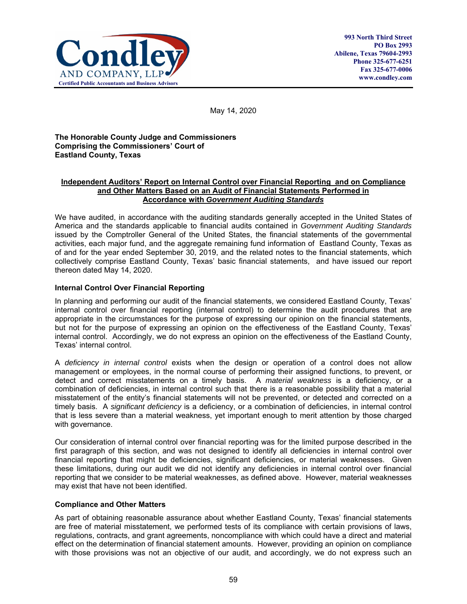

May 14, 2020

**The Honorable County Judge and Commissioners Comprising the Commissioners' Court of Eastland County, Texas** 

# **Independent Auditors' Report on Internal Control over Financial Reporting and on Compliance and Other Matters Based on an Audit of Financial Statements Performed in Accordance with** *Government Auditing Standards*

We have audited, in accordance with the auditing standards generally accepted in the United States of America and the standards applicable to financial audits contained in *Government Auditing Standards*  issued by the Comptroller General of the United States, the financial statements of the governmental activities, each major fund, and the aggregate remaining fund information of Eastland County, Texas as of and for the year ended September 30, 2019, and the related notes to the financial statements, which collectively comprise Eastland County, Texas' basic financial statements, and have issued our report thereon dated May 14, 2020.

# **Internal Control Over Financial Reporting**

In planning and performing our audit of the financial statements, we considered Eastland County, Texas' internal control over financial reporting (internal control) to determine the audit procedures that are appropriate in the circumstances for the purpose of expressing our opinion on the financial statements, but not for the purpose of expressing an opinion on the effectiveness of the Eastland County, Texas' internal control. Accordingly, we do not express an opinion on the effectiveness of the Eastland County, Texas' internal control.

A *deficiency in internal control* exists when the design or operation of a control does not allow management or employees, in the normal course of performing their assigned functions, to prevent, or detect and correct misstatements on a timely basis. A *material weakness* is a deficiency, or a combination of deficiencies, in internal control such that there is a reasonable possibility that a material misstatement of the entity's financial statements will not be prevented, or detected and corrected on a timely basis. A *significant deficiency* is a deficiency, or a combination of deficiencies, in internal control that is less severe than a material weakness, yet important enough to merit attention by those charged with governance.

Our consideration of internal control over financial reporting was for the limited purpose described in the first paragraph of this section, and was not designed to identify all deficiencies in internal control over financial reporting that might be deficiencies, significant deficiencies, or material weaknesses. Given these limitations, during our audit we did not identify any deficiencies in internal control over financial reporting that we consider to be material weaknesses, as defined above. However, material weaknesses may exist that have not been identified.

# **Compliance and Other Matters**

As part of obtaining reasonable assurance about whether Eastland County, Texas' financial statements are free of material misstatement, we performed tests of its compliance with certain provisions of laws, regulations, contracts, and grant agreements, noncompliance with which could have a direct and material effect on the determination of financial statement amounts. However, providing an opinion on compliance with those provisions was not an objective of our audit, and accordingly, we do not express such an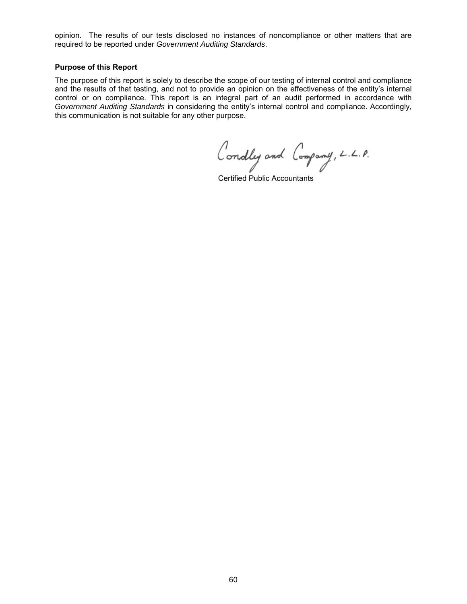opinion. The results of our tests disclosed no instances of noncompliance or other matters that are required to be reported under *Government Auditing Standards*.

#### **Purpose of this Report**

The purpose of this report is solely to describe the scope of our testing of internal control and compliance and the results of that testing, and not to provide an opinion on the effectiveness of the entity's internal control or on compliance. This report is an integral part of an audit performed in accordance with *Government Auditing Standards* in considering the entity's internal control and compliance. Accordingly, this communication is not suitable for any other purpose.

Conolly and Company, L.L.P.<br>Certified Public Accountants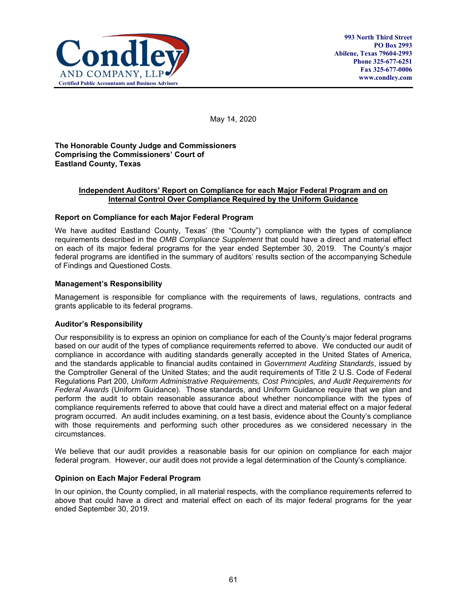

May 14, 2020

**The Honorable County Judge and Commissioners Comprising the Commissioners' Court of Eastland County, Texas** 

# **Independent Auditors' Report on Compliance for each Major Federal Program and on Internal Control Over Compliance Required by the Uniform Guidance**

### **Report on Compliance for each Major Federal Program**

We have audited Eastland County, Texas' (the "County") compliance with the types of compliance requirements described in the *OMB Compliance Supplement* that could have a direct and material effect on each of its major federal programs for the year ended September 30, 2019. The County's major federal programs are identified in the summary of auditors' results section of the accompanying Schedule of Findings and Questioned Costs.

### **Management's Responsibility**

Management is responsible for compliance with the requirements of laws, regulations, contracts and grants applicable to its federal programs.

#### **Auditor's Responsibility**

Our responsibility is to express an opinion on compliance for each of the County's major federal programs based on our audit of the types of compliance requirements referred to above. We conducted our audit of compliance in accordance with auditing standards generally accepted in the United States of America, and the standards applicable to financial audits contained in *Government Auditing Standards*, issued by the Comptroller General of the United States; and the audit requirements of Title 2 U.S. Code of Federal Regulations Part 200, *Uniform Administrative Requirements, Cost Principles, and Audit Requirements for Federal Awards* (Uniform Guidance). Those standards, and Uniform Guidance require that we plan and perform the audit to obtain reasonable assurance about whether noncompliance with the types of compliance requirements referred to above that could have a direct and material effect on a major federal program occurred. An audit includes examining, on a test basis, evidence about the County's compliance with those requirements and performing such other procedures as we considered necessary in the circumstances.

We believe that our audit provides a reasonable basis for our opinion on compliance for each major federal program. However, our audit does not provide a legal determination of the County's compliance.

#### **Opinion on Each Major Federal Program**

In our opinion, the County complied, in all material respects, with the compliance requirements referred to above that could have a direct and material effect on each of its major federal programs for the year ended September 30, 2019.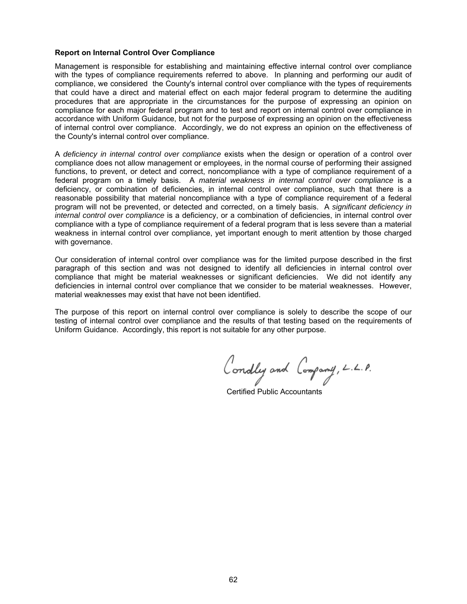#### **Report on Internal Control Over Compliance**

Management is responsible for establishing and maintaining effective internal control over compliance with the types of compliance requirements referred to above. In planning and performing our audit of compliance, we considered the County's internal control over compliance with the types of requirements that could have a direct and material effect on each major federal program to determine the auditing procedures that are appropriate in the circumstances for the purpose of expressing an opinion on compliance for each major federal program and to test and report on internal control over compliance in accordance with Uniform Guidance, but not for the purpose of expressing an opinion on the effectiveness of internal control over compliance. Accordingly, we do not express an opinion on the effectiveness of the County's internal control over compliance.

A *deficiency in internal control over compliance* exists when the design or operation of a control over compliance does not allow management or employees, in the normal course of performing their assigned functions, to prevent, or detect and correct, noncompliance with a type of compliance requirement of a federal program on a timely basis. A *material weakness in internal control over compliance* is a deficiency, or combination of deficiencies, in internal control over compliance, such that there is a reasonable possibility that material noncompliance with a type of compliance requirement of a federal program will not be prevented, or detected and corrected, on a timely basis. A *significant deficiency in internal control over compliance* is a deficiency, or a combination of deficiencies, in internal control over compliance with a type of compliance requirement of a federal program that is less severe than a material weakness in internal control over compliance, yet important enough to merit attention by those charged with governance.

Our consideration of internal control over compliance was for the limited purpose described in the first paragraph of this section and was not designed to identify all deficiencies in internal control over compliance that might be material weaknesses or significant deficiencies. We did not identify any deficiencies in internal control over compliance that we consider to be material weaknesses. However, material weaknesses may exist that have not been identified.

The purpose of this report on internal control over compliance is solely to describe the scope of our testing of internal control over compliance and the results of that testing based on the requirements of Uniform Guidance. Accordingly, this report is not suitable for any other purpose.

Conolly and Company, L.L.P.<br>Certified Public Accountants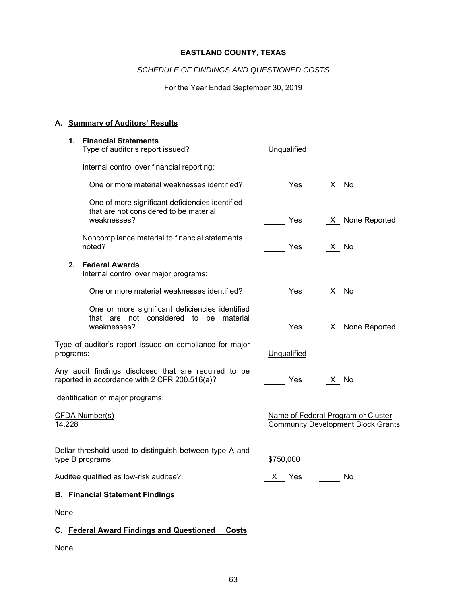### *SCHEDULE OF FINDINGS AND QUESTIONED COSTS*

## For the Year Ended September 30, 2019

# **A. Summary of Auditors' Results**

| 1.        | <b>Financial Statements</b><br>Type of auditor's report issued?                                          | <b>Unqualified</b> |                                                                                 |
|-----------|----------------------------------------------------------------------------------------------------------|--------------------|---------------------------------------------------------------------------------|
|           | Internal control over financial reporting:                                                               |                    |                                                                                 |
|           |                                                                                                          |                    |                                                                                 |
|           | One or more material weaknesses identified?                                                              | Yes.               | X No                                                                            |
|           | One of more significant deficiencies identified<br>that are not considered to be material<br>weaknesses? | Yes.               | X None Reported                                                                 |
|           | Noncompliance material to financial statements<br>noted?                                                 | Yes.               | X No                                                                            |
| $2_{-}$   | <b>Federal Awards</b><br>Internal control over major programs:                                           |                    |                                                                                 |
|           | One or more material weaknesses identified?                                                              | Yes.               | X No                                                                            |
|           | One or more significant deficiencies identified<br>that are not considered to be material<br>weaknesses? | Yes                | X None Reported                                                                 |
| programs: | Type of auditor's report issued on compliance for major                                                  | Unqualified        |                                                                                 |
|           | Any audit findings disclosed that are required to be<br>reported in accordance with 2 CFR 200.516(a)?    | Yes                | X No                                                                            |
|           | Identification of major programs:                                                                        |                    |                                                                                 |
| 14.228    | CFDA Number(s)                                                                                           |                    | Name of Federal Program or Cluster<br><b>Community Development Block Grants</b> |
|           | Dollar threshold used to distinguish between type A and<br>type B programs:                              | \$750,000          |                                                                                 |
|           | Auditee qualified as low-risk auditee?                                                                   | X —<br>Yes         | No                                                                              |
|           | <b>B. Financial Statement Findings</b>                                                                   |                    |                                                                                 |

None

# **C. Federal Award Findings and Questioned Costs**

None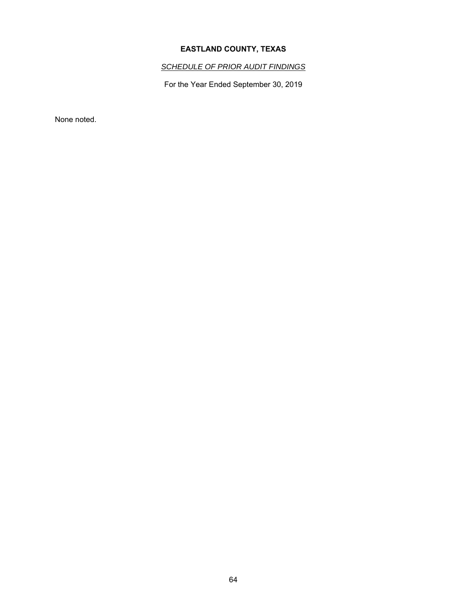# *SCHEDULE OF PRIOR AUDIT FINDINGS*

For the Year Ended September 30, 2019

None noted.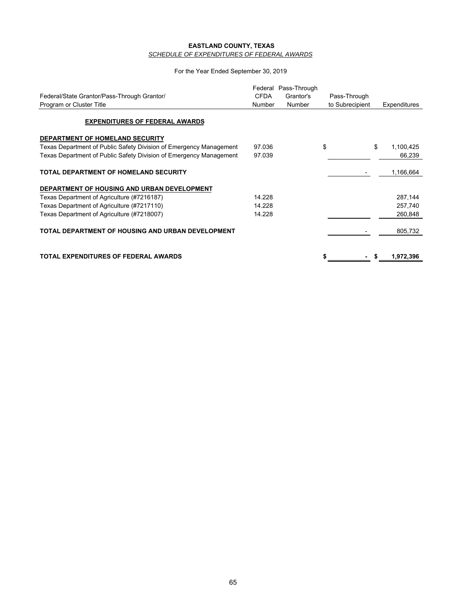#### **EASTLAND COUNTY, TEXAS** *SCHEDULE OF EXPENDITURES OF FEDERAL AWARDS*

For the Year Ended September 30, 2019

|                                                                    | Federal       | Pass-Through |                 |                 |
|--------------------------------------------------------------------|---------------|--------------|-----------------|-----------------|
| Federal/State Grantor/Pass-Through Grantor/                        | <b>CFDA</b>   | Grantor's    | Pass-Through    |                 |
| Program or Cluster Title                                           | <b>Number</b> | Number       | to Subrecipient | Expenditures    |
| <b>EXPENDITURES OF FEDERAL AWARDS</b>                              |               |              |                 |                 |
| DEPARTMENT OF HOMELAND SECURITY                                    |               |              |                 |                 |
| Texas Department of Public Safety Division of Emergency Management | 97.036        |              | \$              | \$<br>1,100,425 |
| Texas Department of Public Safety Division of Emergency Management | 97.039        |              |                 | 66,239          |
| TOTAL DEPARTMENT OF HOMELAND SECURITY                              |               |              |                 | 1,166,664       |
| DEPARTMENT OF HOUSING AND URBAN DEVELOPMENT                        |               |              |                 |                 |
| Texas Department of Agriculture (#7216187)                         | 14.228        |              |                 | 287,144         |
| Texas Department of Agriculture (#7217110)                         | 14.228        |              |                 | 257,740         |
| Texas Department of Agriculture (#7218007)                         | 14.228        |              |                 | 260,848         |
| TOTAL DEPARTMENT OF HOUSING AND URBAN DEVELOPMENT                  |               |              |                 | 805,732         |
| <b>TOTAL EXPENDITURES OF FEDERAL AWARDS</b>                        |               |              |                 | 1,972,396       |